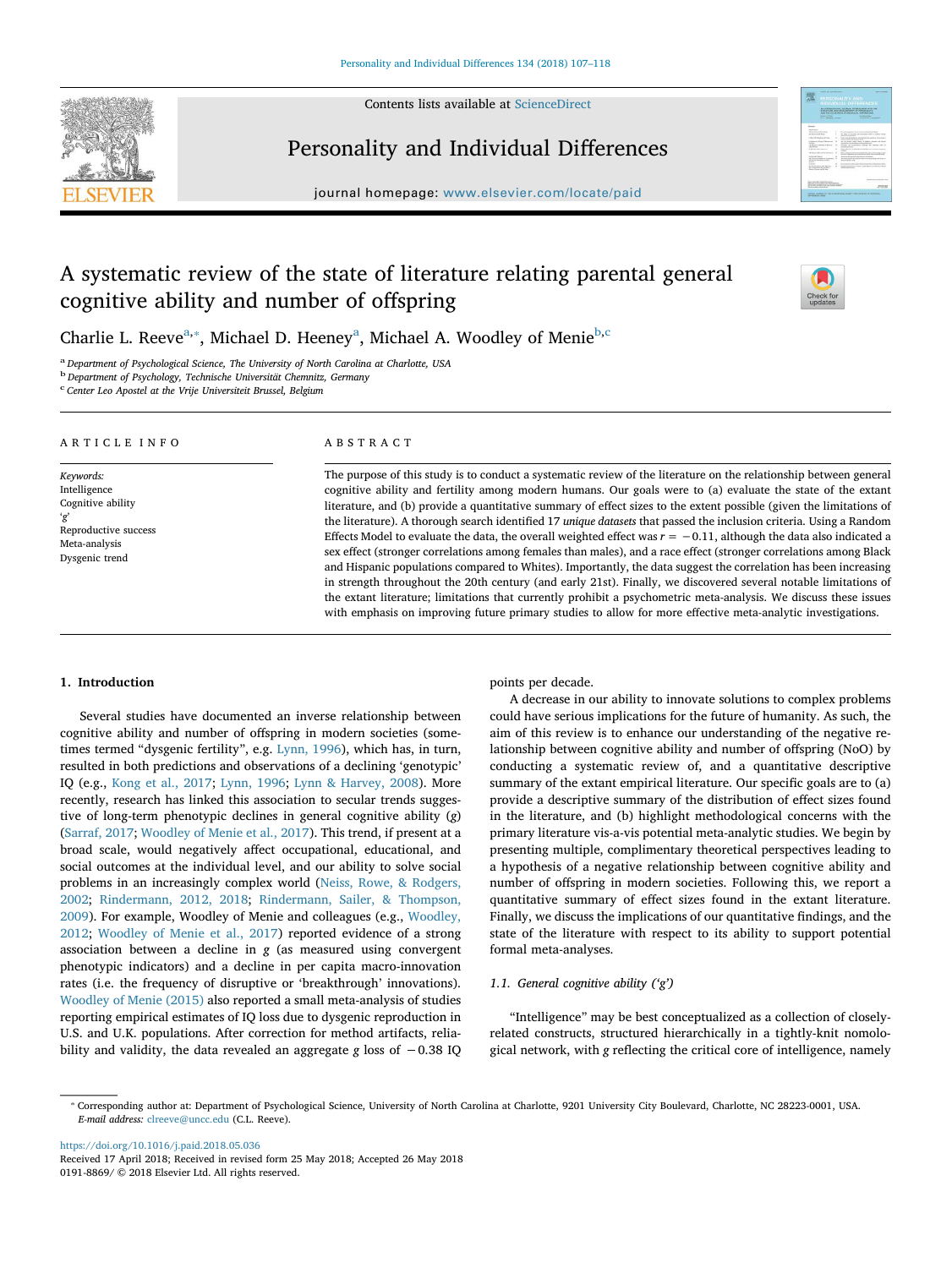

Contents lists available at ScienceDirect

# Personality and Individual Differences

journal homepage: www.elsevier.com/locate/paid



# A systematic review of the state of literature relating parental general cognitive ability and number of offspring



Charlie L. Reeve<sup>a,</sup>\*, Michael D. Heeney<sup>a</sup>, Michael A. Woodley of Menie<sup>b,c</sup>

<sup>a</sup> Department of Psychological Science, The University of North Carolina at Charlotte, USA

b Department of Psychology, Technische Universität Chemnitz, Germany

<sup>c</sup> Center Leo Apostel at the Vrije Universiteit Brussel, Belgium

## ARTICLE INFO

Keywords: Intelligence Cognitive ability 'g' Reproductive success Meta-analysis Dysgenic trend

## ABSTRACT

The purpose of this study is to conduct a systematic review of the literature on the relationship between general cognitive ability and fertility among modern humans. Our goals were to (a) evaluate the state of the extant literature, and (b) provide a quantitative summary of effect sizes to the extent possible (given the limitations of the literature). A thorough search identified 17 unique datasets that passed the inclusion criteria. Using a Random Effects Model to evaluate the data, the overall weighted effect was  $r = -0.11$ , although the data also indicated a sex effect (stronger correlations among females than males), and a race effect (stronger correlations among Black and Hispanic populations compared to Whites). Importantly, the data suggest the correlation has been increasing in strength throughout the 20th century (and early 21st). Finally, we discovered several notable limitations of the extant literature; limitations that currently prohibit a psychometric meta-analysis. We discuss these issues with emphasis on improving future primary studies to allow for more effective meta-analytic investigations.

# 1. Introduction

Several studies have documented an inverse relationship between cognitive ability and number of offspring in modern societies (sometimes termed "dysgenic fertility", e.g. Lynn, 1996), which has, in turn, resulted in both predictions and observations of a declining 'genotypic' IQ (e.g., Kong et al., 2017; Lynn, 1996; Lynn & Harvey, 2008). More recently, research has linked this association to secular trends suggestive of long-term phenotypic declines in general cognitive ability  $(g)$ (Sarraf, 2017; Woodley of Menie et al., 2017). This trend, if present at a broad scale, would negatively affect occupational, educational, and social outcomes at the individual level, and our ability to solve social problems in an increasingly complex world (Neiss, Rowe, & Rodgers, 2002; Rindermann, 2012, 2018; Rindermann, Sailer, & Thompson, 2009). For example, Woodley of Menie and colleagues (e.g., Woodley, 2012; Woodley of Menie et al., 2017) reported evidence of a strong association between a decline in g (as measured using convergent phenotypic indicators) and a decline in per capita macro-innovation rates (i.e. the frequency of disruptive or 'breakthrough' innovations). Woodley of Menie (2015) also reported a small meta-analysis of studies reporting empirical estimates of IQ loss due to dysgenic reproduction in U.S. and U.K. populations. After correction for method artifacts, reliability and validity, the data revealed an aggregate g loss of −0.38 IQ points per decade.

A decrease in our ability to innovate solutions to complex problems could have serious implications for the future of humanity. As such, the aim of this review is to enhance our understanding of the negative relationship between cognitive ability and number of offspring (NoO) by conducting a systematic review of, and a quantitative descriptive summary of the extant empirical literature. Our specific goals are to (a) provide a descriptive summary of the distribution of effect sizes found in the literature, and (b) highlight methodological concerns with the primary literature vis-a-vis potential meta-analytic studies. We begin by presenting multiple, complimentary theoretical perspectives leading to a hypothesis of a negative relationship between cognitive ability and number of offspring in modern societies. Following this, we report a quantitative summary of effect sizes found in the extant literature. Finally, we discuss the implications of our quantitative findings, and the state of the literature with respect to its ability to support potential formal meta-analyses.

### 1.1. General cognitive ability ('g')

"Intelligence" may be best conceptualized as a collection of closelyrelated constructs, structured hierarchically in a tightly-knit nomological network, with g reflecting the critical core of intelligence, namely

https://doi.org/10.1016/j.paid.2018.05.036 Received 17 April 2018; Received in revised form 25 May 2018; Accepted 26 May 2018 0191-8869/ © 2018 Elsevier Ltd. All rights reserved.

<sup>⁎</sup> Corresponding author at: Department of Psychological Science, University of North Carolina at Charlotte, 9201 University City Boulevard, Charlotte, NC 28223-0001, USA. E-mail address: clreeve@uncc.edu (C.L. Reeve).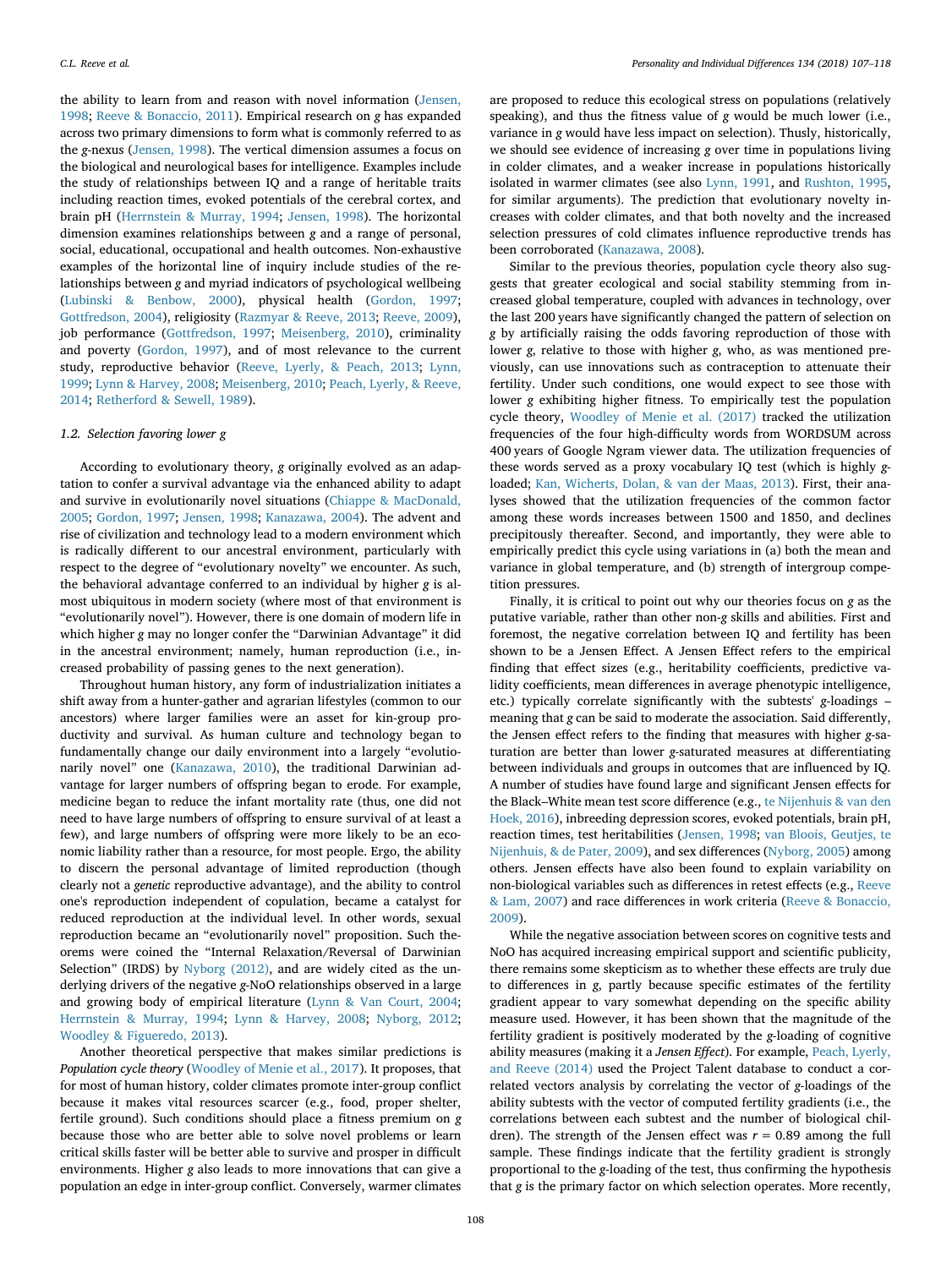the ability to learn from and reason with novel information (Jensen, 1998; Reeve & Bonaccio, 2011). Empirical research on g has expanded across two primary dimensions to form what is commonly referred to as the g-nexus (Jensen, 1998). The vertical dimension assumes a focus on the biological and neurological bases for intelligence. Examples include the study of relationships between IQ and a range of heritable traits including reaction times, evoked potentials of the cerebral cortex, and brain pH (Herrnstein & Murray, 1994; Jensen, 1998). The horizontal dimension examines relationships between g and a range of personal, social, educational, occupational and health outcomes. Non-exhaustive examples of the horizontal line of inquiry include studies of the relationships between g and myriad indicators of psychological wellbeing (Lubinski & Benbow, 2000), physical health (Gordon, 1997; Gottfredson, 2004), religiosity (Razmyar & Reeve, 2013; Reeve, 2009), job performance (Gottfredson, 1997; Meisenberg, 2010), criminality and poverty (Gordon, 1997), and of most relevance to the current study, reproductive behavior (Reeve, Lyerly, & Peach, 2013; Lynn, 1999; Lynn & Harvey, 2008; Meisenberg, 2010; Peach, Lyerly, & Reeve, 2014; Retherford & Sewell, 1989).

## 1.2. Selection favoring lower g

According to evolutionary theory, g originally evolved as an adaptation to confer a survival advantage via the enhanced ability to adapt and survive in evolutionarily novel situations (Chiappe & MacDonald, 2005; Gordon, 1997; Jensen, 1998; Kanazawa, 2004). The advent and rise of civilization and technology lead to a modern environment which is radically different to our ancestral environment, particularly with respect to the degree of "evolutionary novelty" we encounter. As such, the behavioral advantage conferred to an individual by higher g is almost ubiquitous in modern society (where most of that environment is "evolutionarily novel"). However, there is one domain of modern life in which higher g may no longer confer the "Darwinian Advantage" it did in the ancestral environment; namely, human reproduction (i.e., increased probability of passing genes to the next generation).

Throughout human history, any form of industrialization initiates a shift away from a hunter-gather and agrarian lifestyles (common to our ancestors) where larger families were an asset for kin-group productivity and survival. As human culture and technology began to fundamentally change our daily environment into a largely "evolutionarily novel" one (Kanazawa, 2010), the traditional Darwinian advantage for larger numbers of offspring began to erode. For example, medicine began to reduce the infant mortality rate (thus, one did not need to have large numbers of offspring to ensure survival of at least a few), and large numbers of offspring were more likely to be an economic liability rather than a resource, for most people. Ergo, the ability to discern the personal advantage of limited reproduction (though clearly not a genetic reproductive advantage), and the ability to control one's reproduction independent of copulation, became a catalyst for reduced reproduction at the individual level. In other words, sexual reproduction became an "evolutionarily novel" proposition. Such theorems were coined the "Internal Relaxation/Reversal of Darwinian Selection" (IRDS) by Nyborg (2012), and are widely cited as the underlying drivers of the negative g-NoO relationships observed in a large and growing body of empirical literature (Lynn & Van Court, 2004; Herrnstein & Murray, 1994; Lynn & Harvey, 2008; Nyborg, 2012; Woodley & Figueredo, 2013).

Another theoretical perspective that makes similar predictions is Population cycle theory (Woodley of Menie et al., 2017). It proposes, that for most of human history, colder climates promote inter-group conflict because it makes vital resources scarcer (e.g., food, proper shelter, fertile ground). Such conditions should place a fitness premium on g because those who are better able to solve novel problems or learn critical skills faster will be better able to survive and prosper in difficult environments. Higher g also leads to more innovations that can give a population an edge in inter-group conflict. Conversely, warmer climates are proposed to reduce this ecological stress on populations (relatively speaking), and thus the fitness value of g would be much lower (i.e., variance in g would have less impact on selection). Thusly, historically, we should see evidence of increasing g over time in populations living in colder climates, and a weaker increase in populations historically isolated in warmer climates (see also Lynn, 1991, and Rushton, 1995, for similar arguments). The prediction that evolutionary novelty increases with colder climates, and that both novelty and the increased selection pressures of cold climates influence reproductive trends has been corroborated (Kanazawa, 2008).

Similar to the previous theories, population cycle theory also suggests that greater ecological and social stability stemming from increased global temperature, coupled with advances in technology, over the last 200 years have significantly changed the pattern of selection on g by artificially raising the odds favoring reproduction of those with lower g, relative to those with higher g, who, as was mentioned previously, can use innovations such as contraception to attenuate their fertility. Under such conditions, one would expect to see those with lower g exhibiting higher fitness. To empirically test the population cycle theory, Woodley of Menie et al. (2017) tracked the utilization frequencies of the four high-difficulty words from WORDSUM across 400 years of Google Ngram viewer data. The utilization frequencies of these words served as a proxy vocabulary IQ test (which is highly gloaded; Kan, Wicherts, Dolan, & van der Maas, 2013). First, their analyses showed that the utilization frequencies of the common factor among these words increases between 1500 and 1850, and declines precipitously thereafter. Second, and importantly, they were able to empirically predict this cycle using variations in (a) both the mean and variance in global temperature, and (b) strength of intergroup competition pressures.

Finally, it is critical to point out why our theories focus on g as the putative variable, rather than other non-g skills and abilities. First and foremost, the negative correlation between IQ and fertility has been shown to be a Jensen Effect. A Jensen Effect refers to the empirical finding that effect sizes (e.g., heritability coefficients, predictive validity coefficients, mean differences in average phenotypic intelligence, etc.) typically correlate significantly with the subtests' g-loadings – meaning that g can be said to moderate the association. Said differently, the Jensen effect refers to the finding that measures with higher g-saturation are better than lower g-saturated measures at differentiating between individuals and groups in outcomes that are influenced by IQ. A number of studies have found large and significant Jensen effects for the Black–White mean test score difference (e.g., te Nijenhuis & van den Hoek, 2016), inbreeding depression scores, evoked potentials, brain pH, reaction times, test heritabilities (Jensen, 1998; van Bloois, Geutjes, te Nijenhuis, & de Pater, 2009), and sex differences (Nyborg, 2005) among others. Jensen effects have also been found to explain variability on non-biological variables such as differences in retest effects (e.g., Reeve & Lam, 2007) and race differences in work criteria (Reeve & Bonaccio, 2009).

While the negative association between scores on cognitive tests and NoO has acquired increasing empirical support and scientific publicity, there remains some skepticism as to whether these effects are truly due to differences in g, partly because specific estimates of the fertility gradient appear to vary somewhat depending on the specific ability measure used. However, it has been shown that the magnitude of the fertility gradient is positively moderated by the g-loading of cognitive ability measures (making it a Jensen Effect). For example, Peach, Lyerly, and Reeve (2014) used the Project Talent database to conduct a correlated vectors analysis by correlating the vector of g-loadings of the ability subtests with the vector of computed fertility gradients (i.e., the correlations between each subtest and the number of biological children). The strength of the Jensen effect was  $r = 0.89$  among the full sample. These findings indicate that the fertility gradient is strongly proportional to the g-loading of the test, thus confirming the hypothesis that g is the primary factor on which selection operates. More recently,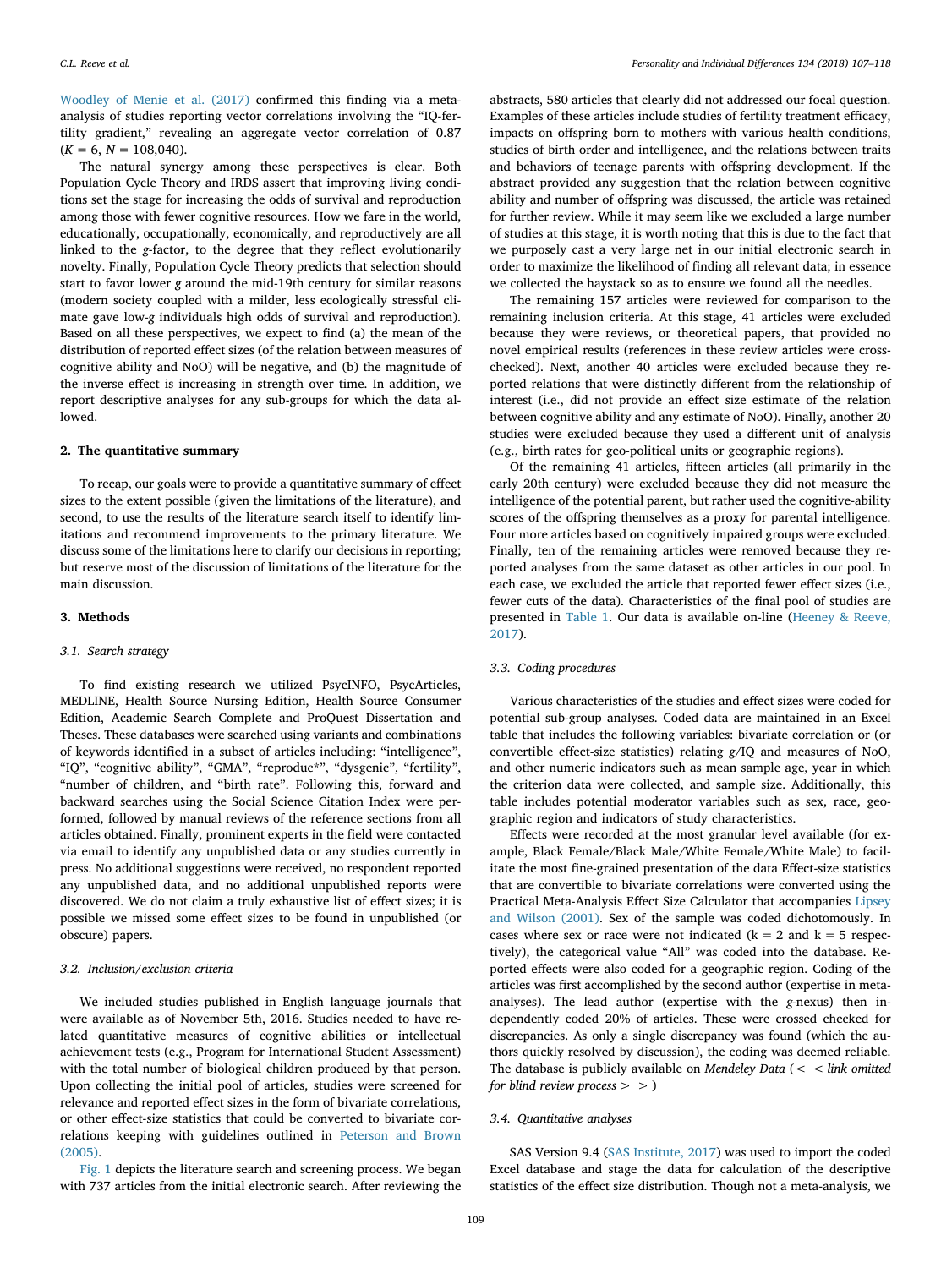Woodley of Menie et al. (2017) confirmed this finding via a metaanalysis of studies reporting vector correlations involving the "IQ-fertility gradient," revealing an aggregate vector correlation of 0.87  $(K = 6, N = 108,040).$ 

The natural synergy among these perspectives is clear. Both Population Cycle Theory and IRDS assert that improving living conditions set the stage for increasing the odds of survival and reproduction among those with fewer cognitive resources. How we fare in the world, educationally, occupationally, economically, and reproductively are all linked to the g-factor, to the degree that they reflect evolutionarily novelty. Finally, Population Cycle Theory predicts that selection should start to favor lower g around the mid-19th century for similar reasons (modern society coupled with a milder, less ecologically stressful climate gave low-g individuals high odds of survival and reproduction). Based on all these perspectives, we expect to find (a) the mean of the distribution of reported effect sizes (of the relation between measures of cognitive ability and NoO) will be negative, and (b) the magnitude of the inverse effect is increasing in strength over time. In addition, we report descriptive analyses for any sub-groups for which the data allowed.

### 2. The quantitative summary

To recap, our goals were to provide a quantitative summary of effect sizes to the extent possible (given the limitations of the literature), and second, to use the results of the literature search itself to identify limitations and recommend improvements to the primary literature. We discuss some of the limitations here to clarify our decisions in reporting; but reserve most of the discussion of limitations of the literature for the main discussion.

# 3. Methods

#### 3.1. Search strategy

To find existing research we utilized PsycINFO, PsycArticles, MEDLINE, Health Source Nursing Edition, Health Source Consumer Edition, Academic Search Complete and ProQuest Dissertation and Theses. These databases were searched using variants and combinations of keywords identified in a subset of articles including: "intelligence", "IQ", "cognitive ability", "GMA", "reproduc\*", "dysgenic", "fertility", "number of children, and "birth rate". Following this, forward and backward searches using the Social Science Citation Index were performed, followed by manual reviews of the reference sections from all articles obtained. Finally, prominent experts in the field were contacted via email to identify any unpublished data or any studies currently in press. No additional suggestions were received, no respondent reported any unpublished data, and no additional unpublished reports were discovered. We do not claim a truly exhaustive list of effect sizes; it is possible we missed some effect sizes to be found in unpublished (or obscure) papers.

## 3.2. Inclusion/exclusion criteria

We included studies published in English language journals that were available as of November 5th, 2016. Studies needed to have related quantitative measures of cognitive abilities or intellectual achievement tests (e.g., Program for International Student Assessment) with the total number of biological children produced by that person. Upon collecting the initial pool of articles, studies were screened for relevance and reported effect sizes in the form of bivariate correlations, or other effect-size statistics that could be converted to bivariate correlations keeping with guidelines outlined in Peterson and Brown (2005).

Fig. 1 depicts the literature search and screening process. We began with 737 articles from the initial electronic search. After reviewing the

abstracts, 580 articles that clearly did not addressed our focal question. Examples of these articles include studies of fertility treatment efficacy, impacts on offspring born to mothers with various health conditions, studies of birth order and intelligence, and the relations between traits and behaviors of teenage parents with offspring development. If the abstract provided any suggestion that the relation between cognitive ability and number of offspring was discussed, the article was retained for further review. While it may seem like we excluded a large number of studies at this stage, it is worth noting that this is due to the fact that we purposely cast a very large net in our initial electronic search in order to maximize the likelihood of finding all relevant data; in essence we collected the haystack so as to ensure we found all the needles.

The remaining 157 articles were reviewed for comparison to the remaining inclusion criteria. At this stage, 41 articles were excluded because they were reviews, or theoretical papers, that provided no novel empirical results (references in these review articles were crosschecked). Next, another 40 articles were excluded because they reported relations that were distinctly different from the relationship of interest (i.e., did not provide an effect size estimate of the relation between cognitive ability and any estimate of NoO). Finally, another 20 studies were excluded because they used a different unit of analysis (e.g., birth rates for geo-political units or geographic regions).

Of the remaining 41 articles, fifteen articles (all primarily in the early 20th century) were excluded because they did not measure the intelligence of the potential parent, but rather used the cognitive-ability scores of the offspring themselves as a proxy for parental intelligence. Four more articles based on cognitively impaired groups were excluded. Finally, ten of the remaining articles were removed because they reported analyses from the same dataset as other articles in our pool. In each case, we excluded the article that reported fewer effect sizes (i.e., fewer cuts of the data). Characteristics of the final pool of studies are presented in Table 1. Our data is available on-line (Heeney & Reeve, 2017).

# 3.3. Coding procedures

Various characteristics of the studies and effect sizes were coded for potential sub-group analyses. Coded data are maintained in an Excel table that includes the following variables: bivariate correlation or (or convertible effect-size statistics) relating g/IQ and measures of NoO, and other numeric indicators such as mean sample age, year in which the criterion data were collected, and sample size. Additionally, this table includes potential moderator variables such as sex, race, geographic region and indicators of study characteristics.

Effects were recorded at the most granular level available (for example, Black Female/Black Male/White Female/White Male) to facilitate the most fine-grained presentation of the data Effect-size statistics that are convertible to bivariate correlations were converted using the Practical Meta-Analysis Effect Size Calculator that accompanies Lipsey and Wilson (2001). Sex of the sample was coded dichotomously. In cases where sex or race were not indicated  $(k = 2$  and  $k = 5$  respectively), the categorical value "All" was coded into the database. Reported effects were also coded for a geographic region. Coding of the articles was first accomplished by the second author (expertise in metaanalyses). The lead author (expertise with the g-nexus) then independently coded 20% of articles. These were crossed checked for discrepancies. As only a single discrepancy was found (which the authors quickly resolved by discussion), the coding was deemed reliable. The database is publicly available on Mendeley Data ( $\lt$   $\lt$  link omitted for blind review process  $>$  >  $)$ 

#### 3.4. Quantitative analyses

SAS Version 9.4 (SAS Institute, 2017) was used to import the coded Excel database and stage the data for calculation of the descriptive statistics of the effect size distribution. Though not a meta-analysis, we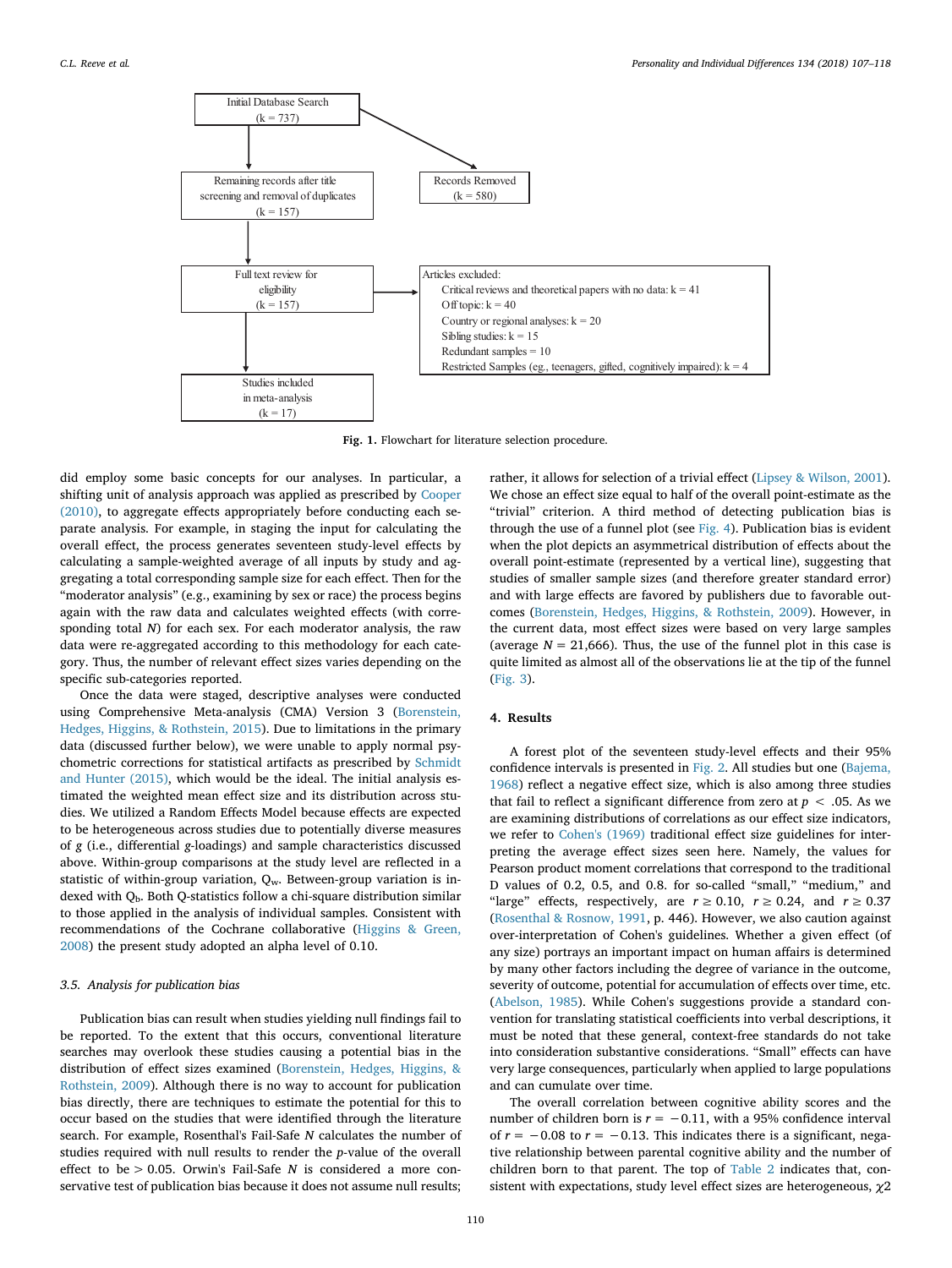

Fig. 1. Flowchart for literature selection procedure.

did employ some basic concepts for our analyses. In particular, a shifting unit of analysis approach was applied as prescribed by Cooper (2010), to aggregate effects appropriately before conducting each separate analysis. For example, in staging the input for calculating the overall effect, the process generates seventeen study-level effects by calculating a sample-weighted average of all inputs by study and aggregating a total corresponding sample size for each effect. Then for the "moderator analysis" (e.g., examining by sex or race) the process begins again with the raw data and calculates weighted effects (with corresponding total  $N$ ) for each sex. For each moderator analysis, the raw data were re-aggregated according to this methodology for each category. Thus, the number of relevant effect sizes varies depending on the specific sub-categories reported.

Once the data were staged, descriptive analyses were conducted using Comprehensive Meta-analysis (CMA) Version 3 (Borenstein, Hedges, Higgins, & Rothstein, 2015). Due to limitations in the primary data (discussed further below), we were unable to apply normal psychometric corrections for statistical artifacts as prescribed by Schmidt and Hunter (2015), which would be the ideal. The initial analysis estimated the weighted mean effect size and its distribution across studies. We utilized a Random Effects Model because effects are expected to be heterogeneous across studies due to potentially diverse measures of g (i.e., differential g-loadings) and sample characteristics discussed above. Within-group comparisons at the study level are reflected in a statistic of within-group variation,  $Q_w$ . Between-group variation is indexed with  $Q<sub>b</sub>$ . Both Q-statistics follow a chi-square distribution similar to those applied in the analysis of individual samples. Consistent with recommendations of the Cochrane collaborative (Higgins & Green, 2008) the present study adopted an alpha level of 0.10.

# 3.5. Analysis for publication bias

Publication bias can result when studies yielding null findings fail to be reported. To the extent that this occurs, conventional literature searches may overlook these studies causing a potential bias in the distribution of effect sizes examined (Borenstein, Hedges, Higgins, & Rothstein, 2009). Although there is no way to account for publication bias directly, there are techniques to estimate the potential for this to occur based on the studies that were identified through the literature search. For example, Rosenthal's Fail-Safe N calculates the number of studies required with null results to render the p-value of the overall effect to be  $> 0.05$ . Orwin's Fail-Safe N is considered a more conservative test of publication bias because it does not assume null results;

rather, it allows for selection of a trivial effect (Lipsey & Wilson, 2001). We chose an effect size equal to half of the overall point-estimate as the "trivial" criterion. A third method of detecting publication bias is through the use of a funnel plot (see Fig. 4). Publication bias is evident when the plot depicts an asymmetrical distribution of effects about the overall point-estimate (represented by a vertical line), suggesting that studies of smaller sample sizes (and therefore greater standard error) and with large effects are favored by publishers due to favorable outcomes (Borenstein, Hedges, Higgins, & Rothstein, 2009). However, in the current data, most effect sizes were based on very large samples (average  $N = 21,666$ ). Thus, the use of the funnel plot in this case is quite limited as almost all of the observations lie at the tip of the funnel (Fig. 3).

# 4. Results

A forest plot of the seventeen study-level effects and their 95% confidence intervals is presented in Fig. 2. All studies but one (Bajema, 1968) reflect a negative effect size, which is also among three studies that fail to reflect a significant difference from zero at  $p < .05$ . As we are examining distributions of correlations as our effect size indicators, we refer to Cohen's (1969) traditional effect size guidelines for interpreting the average effect sizes seen here. Namely, the values for Pearson product moment correlations that correspond to the traditional D values of 0.2, 0.5, and 0.8. for so-called "small," "medium," and "large" effects, respectively, are  $r \ge 0.10$ ,  $r \ge 0.24$ , and  $r \ge 0.37$ (Rosenthal & Rosnow, 1991, p. 446). However, we also caution against over-interpretation of Cohen's guidelines. Whether a given effect (of any size) portrays an important impact on human affairs is determined by many other factors including the degree of variance in the outcome, severity of outcome, potential for accumulation of effects over time, etc. (Abelson, 1985). While Cohen's suggestions provide a standard convention for translating statistical coefficients into verbal descriptions, it must be noted that these general, context-free standards do not take into consideration substantive considerations. "Small" effects can have very large consequences, particularly when applied to large populations and can cumulate over time.

The overall correlation between cognitive ability scores and the number of children born is  $r = -0.11$ , with a 95% confidence interval of  $r = -0.08$  to  $r = -0.13$ . This indicates there is a significant, negative relationship between parental cognitive ability and the number of children born to that parent. The top of Table 2 indicates that, consistent with expectations, study level effect sizes are heterogeneous,  $\chi$ 2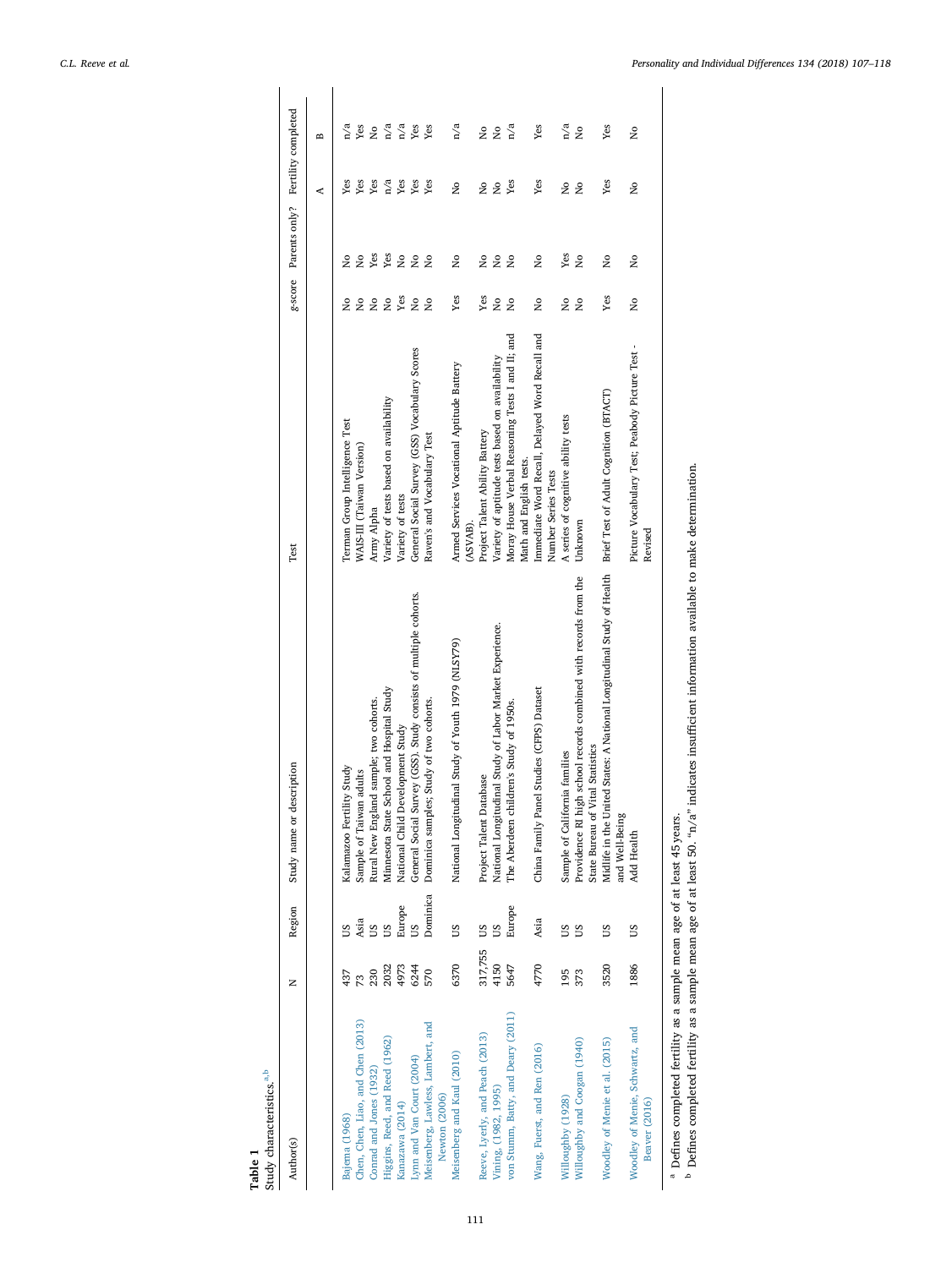| Author(s)                                          | z       | Region       | Study name or description                                                                                                         | Test                                                                        |               | g-score Parents only? Fertility completed |                         |                         |
|----------------------------------------------------|---------|--------------|-----------------------------------------------------------------------------------------------------------------------------------|-----------------------------------------------------------------------------|---------------|-------------------------------------------|-------------------------|-------------------------|
|                                                    |         |              |                                                                                                                                   |                                                                             |               |                                           | ⋖                       | $\mathbf{a}$            |
| Bajema (1968)                                      | 437     | S            | Kalamazoo Fertility Study                                                                                                         | Terman Group Intelligence Test                                              | Σò            | δ                                         | Yes                     | n/a                     |
| Chen, Chen, Liao, and Chen (2013)                  | 73      | Asia         | adults<br>Sample of Taiwan                                                                                                        | WAIS-III (Taiwan Version)                                                   | δ             | $\frac{1}{2}$                             | Yes                     | Yes                     |
| Conrad and Jones (1932)                            | 230     | S            | Rural New England sample; two cohorts.                                                                                            | Army Alpha                                                                  | $\frac{1}{2}$ | Yes                                       | Yes                     | No                      |
| Higgins, Reed, and Reed (1962)                     | 2032    | $\mathbf{S}$ | Minnesota State School and Hospital Study                                                                                         | Variety of tests based on availability                                      | δ,            | Yes                                       | $\rm n/a$               | n/a                     |
| Kanazawa (2014)                                    | 4973    | Europe       | National Child Development Study                                                                                                  | Variety of tests                                                            | Yes           | $\frac{1}{2}$                             | Yes                     | n/a                     |
| Lynn and Van Court (2004)                          | 6244    | S            | rvey (GSS). Study consists of multiple cohorts.<br>General Social Sur                                                             | General Social Survey (GSS) Vocabulary Scores                               | δ,            | Σó                                        | Yes                     | Yes                     |
| Meisenberg, Lawless, Lambert, and<br>Newton (2006) | 570     |              | Dominica Dominica samples; Study of two cohorts.                                                                                  | Raven's and Vocabulary Test                                                 | Σò            | ρN                                        | Yes                     | Yes                     |
| Meisenberg and Kaul (2010)                         | 6370    | SU           | National Longitudinal Study of Youth 1979 (NLSY79)                                                                                | Armed Services Vocational Aptitude Battery<br>(ASVAB).                      | Yes           | Σò                                        | $\frac{1}{2}$           | n/a                     |
| Reeve, Lyerly, and Peach (2013)                    | 317,755 | SU           | Project Talent Database                                                                                                           | Project Talent Ability Battery                                              | Yes           | Σó                                        | $\overline{\mathsf{x}}$ | $\overline{\mathsf{x}}$ |
| Vining, (1982, 1995)                               | 4150    | S            | National Longitudinal Study of Labor Market Experience.                                                                           | Variety of aptitude tests based on availability                             | δ,            | $\frac{1}{2}$                             | $_{\rm N_o}$            | $_{\rm N_o}$            |
| von Stumm, Batty, and Deary (2011)                 | 5647    | Europe       | The Aberdeen children's Study of 1950s.                                                                                           | Moray House Verbal Reasoning Tests I and II; and<br>Math and English tests. | δ,            | δ,                                        | Yes                     | n/a                     |
| Wang, Fuerst, and Ren (2016)                       | 4770    | Asia         | China Family Panel Studies (CFPS) Dataset                                                                                         | Immediate Word Recall, Delayed Word Recall and<br>Number Series Tests       | Σó            | δ                                         | Yes                     | Yes                     |
| Willoughby (1928)                                  | 195     | S            | Sample of California families                                                                                                     | A series of cognitive ability tests                                         | δ,            | Yes                                       | Χo                      | n/a                     |
| Willoughby and Coogan (1940)                       | 373     | SU           | Providence RI high school records combined with records from the<br>State Bureau of Vital Statistics                              | Unknown                                                                     | δ,            | δ                                         | Χo                      | Σò                      |
| Woodley of Menie et al. (2015)                     | 3520    | SU           | ted States: A National Longitudinal Study of Health Brief Test of Adult Cognition (BTACT)<br>Midlife in the Uni<br>and Well-Being |                                                                             | Yes           | Σó                                        | Yes                     | Yes                     |
| Woodley of Menie, Schwartz, and<br>Beaver (2016)   | 1886    | SU           | Add Health                                                                                                                        | Picture Vocabulary Test; Peabody Picture Test -<br>Revised                  | Σò            | Σó                                        | $\overline{\mathsf{x}}$ | Σó                      |

 $\mathsf{l}$ 

Defines completed fertility as a sample mean age of at least 45 years.

ab

 $^{\rm b}$  Defines completed fertility as a sample mean age of at least 50. " $n/a$ " indicates insufficient information available to make determination.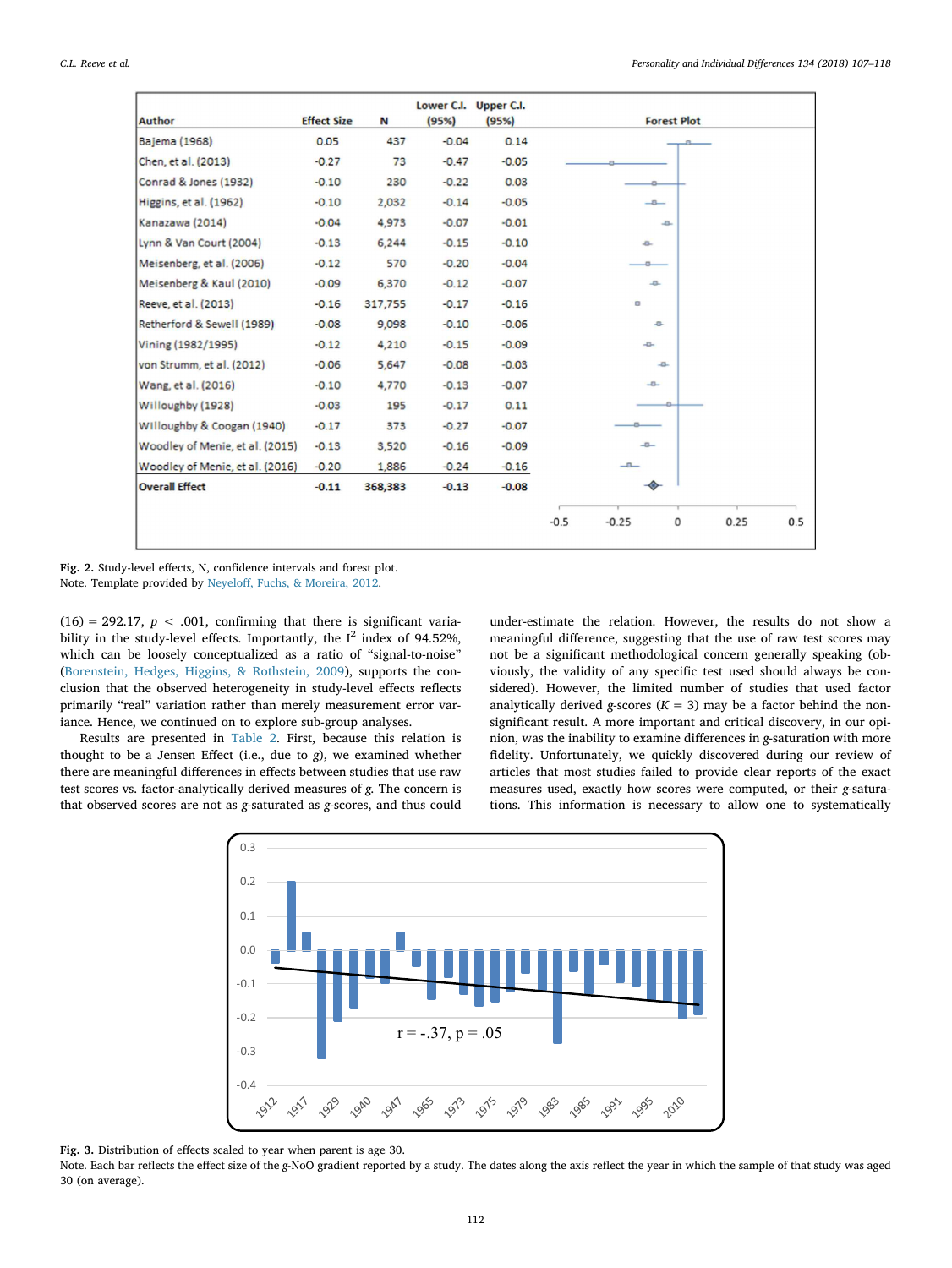| <b>Author</b>                   | <b>Effect Size</b> | N       | Lower C.I. Upper C.I.<br>(95%) | (95%)   | <b>Forest Plot</b>                    |
|---------------------------------|--------------------|---------|--------------------------------|---------|---------------------------------------|
| Bajema (1968)                   | 0.05               | 437     | $-0.04$                        | 0.14    |                                       |
| Chen, et al. (2013)             | $-0.27$            | 73      | $-0.47$                        | $-0.05$ |                                       |
| Conrad & Jones (1932)           | $-0.10$            | 230     | $-0.22$                        | 0.03    |                                       |
| Higgins, et al. (1962)          | $-0.10$            | 2,032   | $-0.14$                        | $-0.05$ | $-0-$                                 |
| Kanazawa (2014)                 | $-0.04$            | 4,973   | $-0.07$                        | $-0.01$ | $-2-$                                 |
| Lynn & Van Court (2004)         | $-0.13$            | 6,244   | $-0.15$                        | $-0.10$ | a.                                    |
| Meisenberg, et al. (2006)       | $-0.12$            | 570     | $-0.20$                        | $-0.04$ |                                       |
| Meisenberg & Kaul (2010)        | $-0.09$            | 6,370   | $-0.12$                        | $-0.07$ | -B-                                   |
| Reeve, et al. (2013)            | $-0.16$            | 317,755 | $-0.17$                        | $-0.16$ | Ξ                                     |
| Retherford & Sewell (1989)      | $-0.08$            | 9,098   | $-0.10$                        | $-0.06$ | a                                     |
| Vining (1982/1995)              | $-0.12$            | 4,210   | $-0.15$                        | $-0.09$ | a.                                    |
| von Strumm, et al. (2012)       | $-0.06$            | 5,647   | $-0.08$                        | $-0.03$ | -8-                                   |
| Wang, et al. (2016)             | $-0.10$            | 4,770   | $-0.13$                        | $-0.07$ | $-5-$                                 |
| Willoughby (1928)               | $-0.03$            | 195     | $-0.17$                        | 0.11    |                                       |
| Willoughby & Coogan (1940)      | $-0.17$            | 373     | $-0.27$                        | $-0.07$ |                                       |
| Woodley of Menie, et al. (2015) | $-0.13$            | 3,520   | $-0.16$                        | $-0.09$ | $-5-$                                 |
| Woodley of Menie, et al. (2016) | $-0.20$            | 1,886   | $-0.24$                        | $-0.16$ | -0-                                   |
| <b>Overall Effect</b>           | $-0.11$            | 368,383 | $-0.13$                        | $-0.08$ | ◈                                     |
|                                 |                    |         |                                |         | $-0.5$<br>0<br>0.25<br>0.5<br>$-0.25$ |

Fig. 2. Study-level effects, N, confidence intervals and forest plot. Note. Template provided by Neyeloff, Fuchs, & Moreira, 2012.

 $(16) = 292.17$ ,  $p < .001$ , confirming that there is significant variability in the study-level effects. Importantly, the  $I^2$  index of 94.52%, which can be loosely conceptualized as a ratio of "signal-to-noise" (Borenstein, Hedges, Higgins, & Rothstein, 2009), supports the conclusion that the observed heterogeneity in study-level effects reflects primarily "real" variation rather than merely measurement error variance. Hence, we continued on to explore sub-group analyses.

Results are presented in Table 2. First, because this relation is thought to be a Jensen Effect (i.e., due to g), we examined whether there are meaningful differences in effects between studies that use raw test scores vs. factor-analytically derived measures of g. The concern is that observed scores are not as g-saturated as g-scores, and thus could

under-estimate the relation. However, the results do not show a meaningful difference, suggesting that the use of raw test scores may not be a significant methodological concern generally speaking (obviously, the validity of any specific test used should always be considered). However, the limited number of studies that used factor analytically derived g-scores  $(K = 3)$  may be a factor behind the nonsignificant result. A more important and critical discovery, in our opinion, was the inability to examine differences in g-saturation with more fidelity. Unfortunately, we quickly discovered during our review of articles that most studies failed to provide clear reports of the exact measures used, exactly how scores were computed, or their g-saturations. This information is necessary to allow one to systematically



Fig. 3. Distribution of effects scaled to year when parent is age 30.

Note. Each bar reflects the effect size of the g-NoO gradient reported by a study. The dates along the axis reflect the year in which the sample of that study was aged 30 (on average).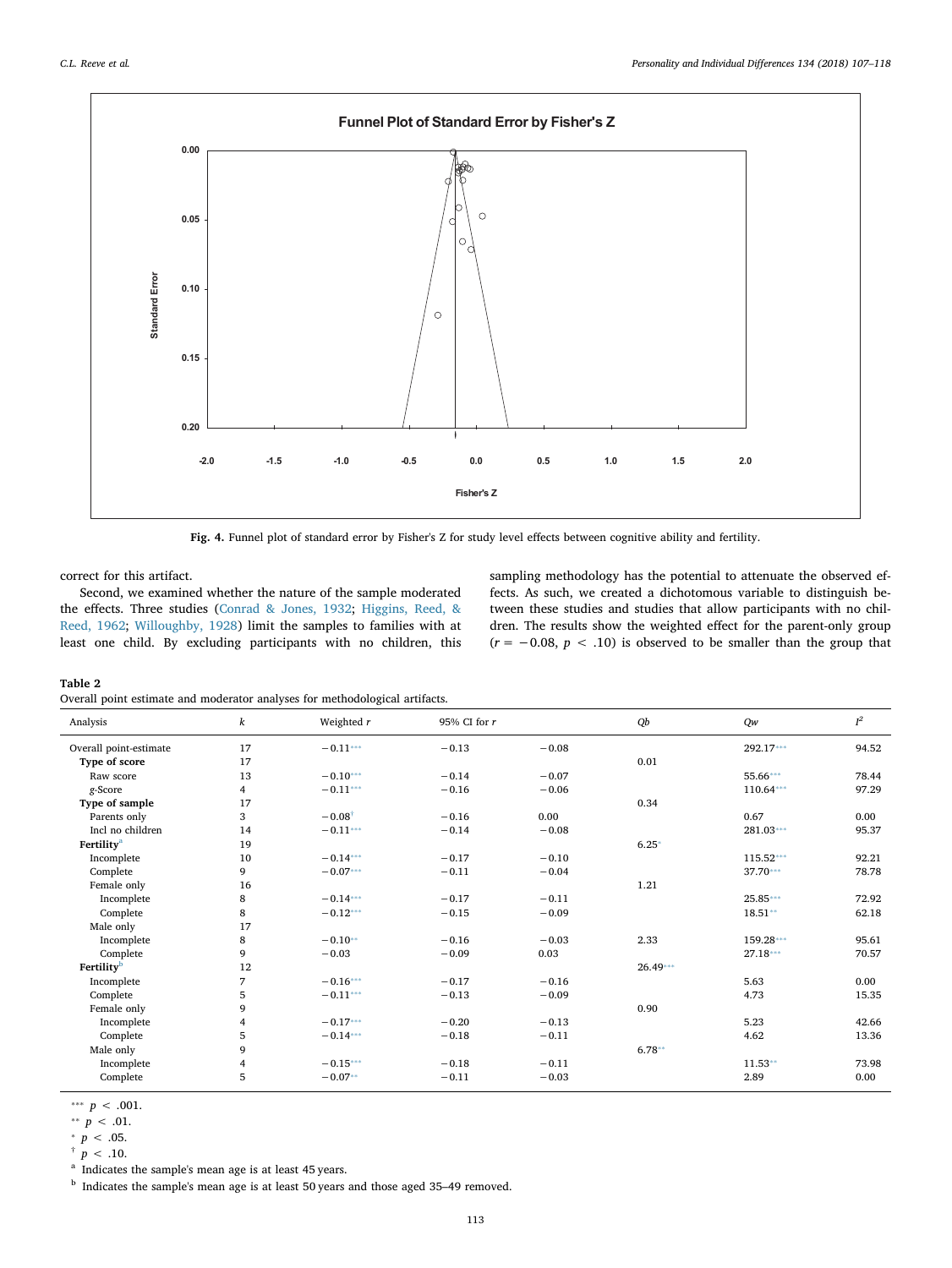

Fig. 4. Funnel plot of standard error by Fisher's Z for study level effects between cognitive ability and fertility.

correct for this artifact.

Second, we examined whether the nature of the sample moderated the effects. Three studies (Conrad & Jones, 1932; Higgins, Reed, & Reed, 1962; Willoughby, 1928) limit the samples to families with at least one child. By excluding participants with no children, this sampling methodology has the potential to attenuate the observed effects. As such, we created a dichotomous variable to distinguish between these studies and studies that allow participants with no children. The results show the weighted effect for the parent-only group  $(r = -0.08, p < .10)$  is observed to be smaller than the group that

# Table 2

Overall point estimate and moderator analyses for methodological artifacts.

| Analysis               | $\boldsymbol{k}$ | Weighted $r$      | 95% CI for r |         | Qb         | Qw        | ${\cal I}^2$ |
|------------------------|------------------|-------------------|--------------|---------|------------|-----------|--------------|
| Overall point-estimate | 17               | $-0.11***$        | $-0.13$      | $-0.08$ |            | 292.17*** | 94.52        |
| Type of score          | 17               |                   |              |         | 0.01       |           |              |
| Raw score              | 13               | $-0.10***$        | $-0.14$      | $-0.07$ |            | 55.66***  | 78.44        |
| g-Score                | 4                | $-0.11***$        | $-0.16$      | $-0.06$ |            | 110.64*** | 97.29        |
| Type of sample         | 17               |                   |              |         | 0.34       |           |              |
| Parents only           | 3                | $-0.08^{\dagger}$ | $-0.16$      | 0.00    |            | 0.67      | 0.00         |
| Incl no children       | 14               | $-0.11***$        | $-0.14$      | $-0.08$ |            | 281.03*** | 95.37        |
| Fertility <sup>a</sup> | 19               |                   |              |         | $6.25*$    |           |              |
| Incomplete             | 10               | $-0.14***$        | $-0.17$      | $-0.10$ |            | 115.52*** | 92.21        |
| Complete               | 9                | $-0.07***$        | $-0.11$      | $-0.04$ |            | 37.70***  | 78.78        |
| Female only            | 16               |                   |              |         | 1.21       |           |              |
| Incomplete             | 8                | $-0.14***$        | $-0.17$      | $-0.11$ |            | 25.85***  | 72.92        |
| Complete               | 8                | $-0.12***$        | $-0.15$      | $-0.09$ |            | $18.51**$ | 62.18        |
| Male only              | 17               |                   |              |         |            |           |              |
| Incomplete             | 8                | $-0.10**$         | $-0.16$      | $-0.03$ | 2.33       | 159.28*** | 95.61        |
| Complete               | 9                | $-0.03$           | $-0.09$      | 0.03    |            | 27.18***  | 70.57        |
| Fertility <sup>b</sup> | 12               |                   |              |         | $26.49***$ |           |              |
| Incomplete             | 7                | $-0.16***$        | $-0.17$      | $-0.16$ |            | 5.63      | 0.00         |
| Complete               | 5                | $-0.11***$        | $-0.13$      | $-0.09$ |            | 4.73      | 15.35        |
| Female only            | 9                |                   |              |         | 0.90       |           |              |
| Incomplete             | $\overline{4}$   | $-0.17***$        | $-0.20$      | $-0.13$ |            | 5.23      | 42.66        |
| Complete               | 5                | $-0.14***$        | $-0.18$      | $-0.11$ |            | 4.62      | 13.36        |
| Male only              | 9                |                   |              |         | $6.78**$   |           |              |
| Incomplete             | $\overline{4}$   | $-0.15***$        | $-0.18$      | $-0.11$ |            | $11.53**$ | 73.98        |
| Complete               | 5                | $-0.07**$         | $-0.11$      | $-0.03$ |            | 2.89      | 0.00         |

\*\*\*  $p < .001$ .

\*\*  $p$  < .01.

 $p < .05$ .

 $\frac{1}{p}$  < .10.

<sup>a</sup> Indicates the sample's mean age is at least 45 years.

<sup>b</sup> Indicates the sample's mean age is at least 50 years and those aged 35-49 removed.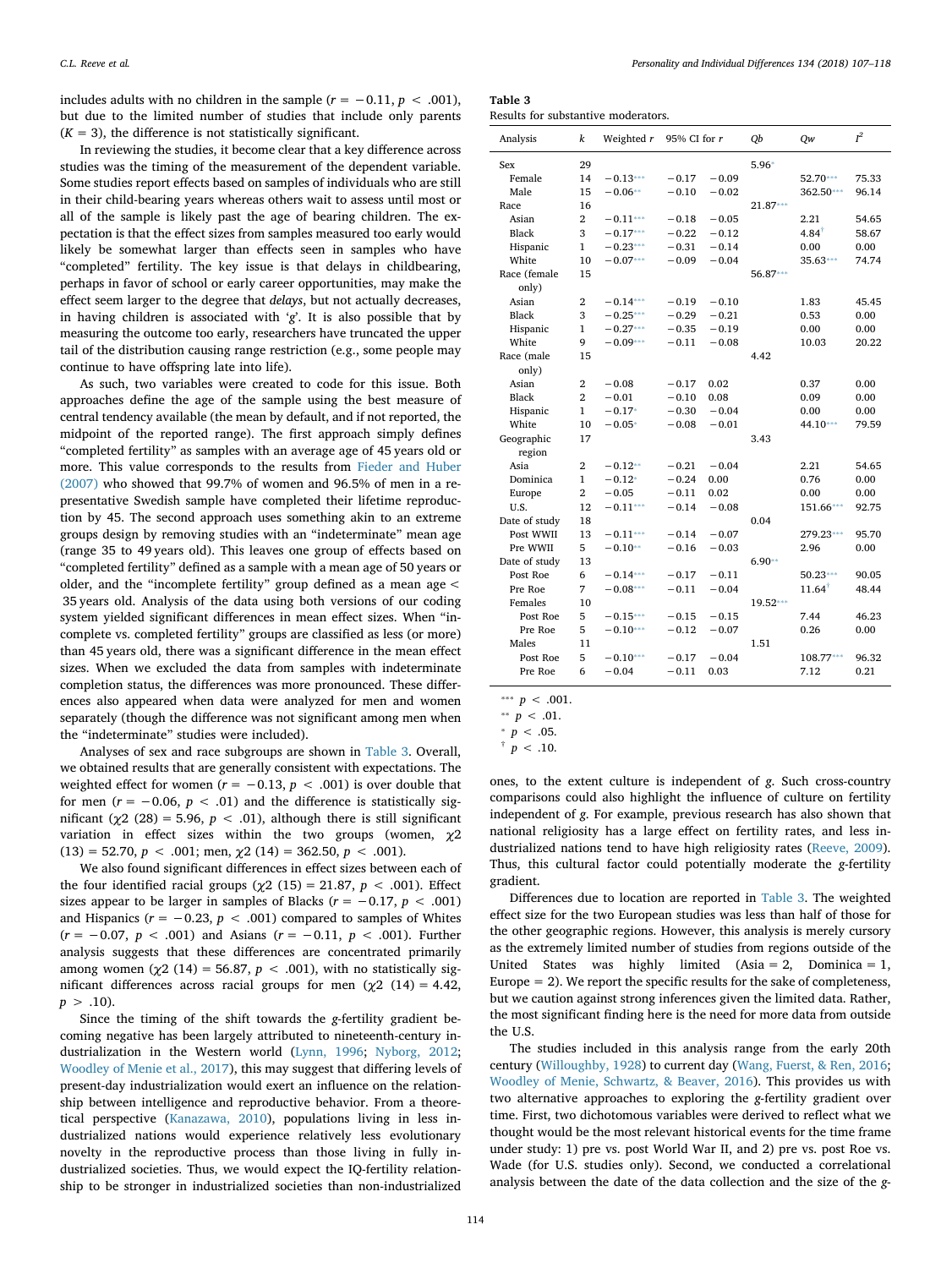includes adults with no children in the sample  $(r = −0.11, p < .001)$ , but due to the limited number of studies that include only parents  $(K = 3)$ , the difference is not statistically significant.

In reviewing the studies, it become clear that a key difference across studies was the timing of the measurement of the dependent variable. Some studies report effects based on samples of individuals who are still in their child-bearing years whereas others wait to assess until most or all of the sample is likely past the age of bearing children. The expectation is that the effect sizes from samples measured too early would likely be somewhat larger than effects seen in samples who have "completed" fertility. The key issue is that delays in childbearing, perhaps in favor of school or early career opportunities, may make the effect seem larger to the degree that delays, but not actually decreases, in having children is associated with 'g'. It is also possible that by measuring the outcome too early, researchers have truncated the upper tail of the distribution causing range restriction (e.g., some people may continue to have offspring late into life).

As such, two variables were created to code for this issue. Both approaches define the age of the sample using the best measure of central tendency available (the mean by default, and if not reported, the midpoint of the reported range). The first approach simply defines "completed fertility" as samples with an average age of 45 years old or more. This value corresponds to the results from Fieder and Huber (2007) who showed that 99.7% of women and 96.5% of men in a representative Swedish sample have completed their lifetime reproduction by 45. The second approach uses something akin to an extreme groups design by removing studies with an "indeterminate" mean age (range 35 to 49 years old). This leaves one group of effects based on "completed fertility" defined as a sample with a mean age of 50 years or older, and the "incomplete fertility" group defined as a mean age < 35 years old. Analysis of the data using both versions of our coding system yielded significant differences in mean effect sizes. When "incomplete vs. completed fertility" groups are classified as less (or more) than 45 years old, there was a significant difference in the mean effect sizes. When we excluded the data from samples with indeterminate completion status, the differences was more pronounced. These differences also appeared when data were analyzed for men and women separately (though the difference was not significant among men when the "indeterminate" studies were included).

Analyses of sex and race subgroups are shown in Table 3. Overall, we obtained results that are generally consistent with expectations. The weighted effect for women ( $r = -0.13$ ,  $p < .001$ ) is over double that for men ( $r = -0.06$ ,  $p < .01$ ) and the difference is statistically significant (χ2 (28) = 5.96,  $p < .01$ ), although there is still significant variation in effect sizes within the two groups (women,  $\chi$ 2 (13) = 52.70,  $p < .001$ ; men,  $\chi$ 2 (14) = 362.50,  $p < .001$ ).

We also found significant differences in effect sizes between each of the four identified racial groups ( $χ$ 2 (15) = 21.87,  $p$  < .001). Effect sizes appear to be larger in samples of Blacks ( $r = -0.17$ ,  $p < .001$ ) and Hispanics ( $r = -0.23$ ,  $p < .001$ ) compared to samples of Whites  $(r = −0.07, p < .001)$  and Asians  $(r = −0.11, p < .001)$ . Further analysis suggests that these differences are concentrated primarily among women ( $χ$ 2 (14) = 56.87,  $p$  < .001), with no statistically significant differences across racial groups for men ( $χ$ 2 (14) = 4.42,  $p > .10$ ).

Since the timing of the shift towards the g-fertility gradient becoming negative has been largely attributed to nineteenth-century industrialization in the Western world (Lynn, 1996; Nyborg, 2012; Woodley of Menie et al., 2017), this may suggest that differing levels of present-day industrialization would exert an influence on the relationship between intelligence and reproductive behavior. From a theoretical perspective (Kanazawa, 2010), populations living in less industrialized nations would experience relatively less evolutionary novelty in the reproductive process than those living in fully industrialized societies. Thus, we would expect the IQ-fertility relationship to be stronger in industrialized societies than non-industrialized

Table 3 Results for substantive moderators.

| Analysis              | k              | Weighted r | 95% CI for r |         | Qb       | Qw                | $I^2$ |
|-----------------------|----------------|------------|--------------|---------|----------|-------------------|-------|
| Sex                   | 29             |            |              |         | $5.96*$  |                   |       |
| Female                | 14             | $-0.13***$ | $-0.17$      | $-0.09$ |          | 52.70***          | 75.33 |
| Male                  | 15             | $-0.06**$  | $-0.10$      | $-0.02$ |          | 362.50***         | 96.14 |
| Race                  | 16             |            |              |         | 21.87*** |                   |       |
| Asian                 | $\overline{2}$ | $-0.11***$ | $-0.18$      | $-0.05$ |          | 2.21              | 54.65 |
| Black                 | 3              | $-0.17***$ | $-0.22$      | $-0.12$ |          | $4.84^{\dagger}$  | 58.67 |
| Hispanic              | 1              | $-0.23***$ | $-0.31$      | $-0.14$ |          | 0.00              | 0.00  |
| White                 | 10             | $-0.07***$ | $-0.09$      | $-0.04$ |          | 35.63***          | 74.74 |
| Race (female<br>only) | 15             |            |              |         | 56.87*** |                   |       |
| Asian                 | $\overline{2}$ | $-0.14***$ | $-0.19$      | $-0.10$ |          | 1.83              | 45.45 |
| Black                 | 3              | $-0.25***$ | $-0.29$      | $-0.21$ |          | 0.53              | 0.00  |
| Hispanic              | 1              | $-0.27***$ | $-0.35$      | $-0.19$ |          | 0.00              | 0.00  |
| White                 | 9              | $-0.09***$ | $-0.11$      | $-0.08$ |          | 10.03             | 20.22 |
| Race (male<br>only)   | 15             |            |              |         | 4.42     |                   |       |
| Asian                 | $\overline{2}$ | $-0.08$    | $-0.17$      | 0.02    |          | 0.37              | 0.00  |
| Black                 | $\overline{2}$ | $-0.01$    | $-0.10$      | 0.08    |          | 0.09              | 0.00  |
| Hispanic              | 1              | $-0.17*$   | $-0.30$      | $-0.04$ |          | 0.00              | 0.00  |
| White                 | 10             | $-0.05*$   | $-0.08$      | $-0.01$ |          | 44.10***          | 79.59 |
| Geographic<br>region  | 17             |            |              |         | 3.43     |                   |       |
| Asia                  | $\overline{2}$ | $-0.12**$  | $-0.21$      | $-0.04$ |          | 2.21              | 54.65 |
| Dominica              | 1              | $-0.12*$   | $-0.24$      | 0.00    |          | 0.76              | 0.00  |
| Europe                | $\overline{2}$ | $-0.05$    | $-0.11$      | 0.02    |          | 0.00              | 0.00  |
| U.S.                  | 12             | $-0.11***$ | $-0.14$      | $-0.08$ |          | 151.66***         | 92.75 |
| Date of study         | 18             |            |              |         | 0.04     |                   |       |
| Post WWII             | 13             | $-0.11***$ | $-0.14$      | $-0.07$ |          | 279.23***         | 95.70 |
| Pre WWII              | 5              | $-0.10**$  | $-0.16$      | $-0.03$ |          | 2.96              | 0.00  |
| Date of study         | 13             |            |              |         | $6.90**$ |                   |       |
| Post Roe              | 6              | $-0.14***$ | $-0.17$      | $-0.11$ |          | $50.23***$        | 90.05 |
| Pre Roe               | 7              | $-0.08***$ | $-0.11$      | $-0.04$ |          | $11.64^{\dagger}$ | 48.44 |
| Females               | 10             |            |              |         | 19.52*** |                   |       |
| Post Roe              | 5              | $-0.15***$ | $-0.15$      | $-0.15$ |          | 7.44              | 46.23 |
| Pre Roe               | 5              | $-0.10***$ | $-0.12$      | $-0.07$ |          | 0.26              | 0.00  |
| Males                 | 11             |            |              |         | 1.51     |                   |       |
| Post Roe              | 5              | $-0.10***$ | $-0.17$      | $-0.04$ |          | 108.77***         | 96.32 |
| Pre Roe               | 6              | $-0.04$    | $-0.11$      | 0.03    |          | 7.12              | 0.21  |
|                       |                |            |              |         |          |                   |       |

\*\*\*  $p < .001$ .

<sup>∗</sup>*∗ p* < .01.

 $p < .05$ .

 $\,^{\dagger}$   $p$  < .10.

ones, to the extent culture is independent of g. Such cross-country comparisons could also highlight the influence of culture on fertility independent of g. For example, previous research has also shown that national religiosity has a large effect on fertility rates, and less industrialized nations tend to have high religiosity rates (Reeve, 2009). Thus, this cultural factor could potentially moderate the g-fertility gradient.

Differences due to location are reported in Table 3. The weighted effect size for the two European studies was less than half of those for the other geographic regions. However, this analysis is merely cursory as the extremely limited number of studies from regions outside of the United States was highly limited  $(Asia = 2, Dominica = 1,$ Europe  $= 2$ ). We report the specific results for the sake of completeness, but we caution against strong inferences given the limited data. Rather, the most significant finding here is the need for more data from outside the U.S.

The studies included in this analysis range from the early 20th century (Willoughby, 1928) to current day (Wang, Fuerst, & Ren, 2016; Woodley of Menie, Schwartz, & Beaver, 2016). This provides us with two alternative approaches to exploring the g-fertility gradient over time. First, two dichotomous variables were derived to reflect what we thought would be the most relevant historical events for the time frame under study: 1) pre vs. post World War II, and 2) pre vs. post Roe vs. Wade (for U.S. studies only). Second, we conducted a correlational analysis between the date of the data collection and the size of the g-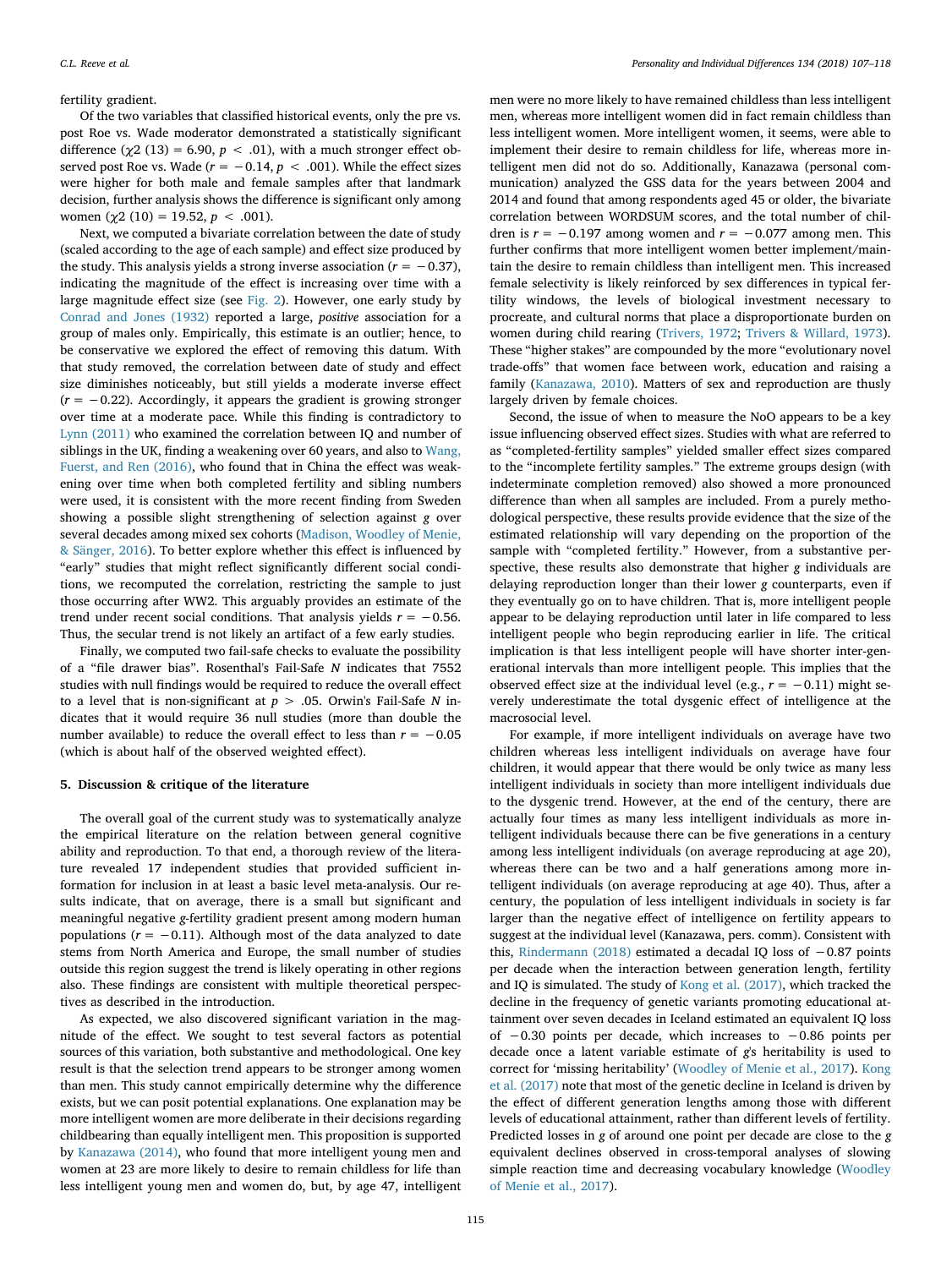## fertility gradient.

Of the two variables that classified historical events, only the pre vs. post Roe vs. Wade moderator demonstrated a statistically significant difference ( $χ$ 2 (13) = 6.90,  $p$  < .01), with a much stronger effect observed post Roe vs. Wade ( $r = -0.14$ ,  $p < .001$ ). While the effect sizes were higher for both male and female samples after that landmark decision, further analysis shows the difference is significant only among women ( $\chi$ 2 (10) = 19.52,  $p < .001$ ).

Next, we computed a bivariate correlation between the date of study (scaled according to the age of each sample) and effect size produced by the study. This analysis yields a strong inverse association  $(r = -0.37)$ . indicating the magnitude of the effect is increasing over time with a large magnitude effect size (see Fig. 2). However, one early study by Conrad and Jones (1932) reported a large, positive association for a group of males only. Empirically, this estimate is an outlier; hence, to be conservative we explored the effect of removing this datum. With that study removed, the correlation between date of study and effect size diminishes noticeably, but still yields a moderate inverse effect  $(r = -0.22)$ . Accordingly, it appears the gradient is growing stronger over time at a moderate pace. While this finding is contradictory to Lynn (2011) who examined the correlation between IQ and number of siblings in the UK, finding a weakening over 60 years, and also to Wang, Fuerst, and Ren (2016), who found that in China the effect was weakening over time when both completed fertility and sibling numbers were used, it is consistent with the more recent finding from Sweden showing a possible slight strengthening of selection against g over several decades among mixed sex cohorts (Madison, Woodley of Menie, & Sänger, 2016). To better explore whether this effect is influenced by "early" studies that might reflect significantly different social conditions, we recomputed the correlation, restricting the sample to just those occurring after WW2. This arguably provides an estimate of the trend under recent social conditions. That analysis yields  $r = -0.56$ . Thus, the secular trend is not likely an artifact of a few early studies.

Finally, we computed two fail-safe checks to evaluate the possibility of a "file drawer bias". Rosenthal's Fail-Safe N indicates that 7552 studies with null findings would be required to reduce the overall effect to a level that is non-significant at  $p > .05$ . Orwin's Fail-Safe N indicates that it would require 36 null studies (more than double the number available) to reduce the overall effect to less than  $r = -0.05$ (which is about half of the observed weighted effect).

#### 5. Discussion & critique of the literature

The overall goal of the current study was to systematically analyze the empirical literature on the relation between general cognitive ability and reproduction. To that end, a thorough review of the literature revealed 17 independent studies that provided sufficient information for inclusion in at least a basic level meta-analysis. Our results indicate, that on average, there is a small but significant and meaningful negative g-fertility gradient present among modern human populations ( $r = -0.11$ ). Although most of the data analyzed to date stems from North America and Europe, the small number of studies outside this region suggest the trend is likely operating in other regions also. These findings are consistent with multiple theoretical perspectives as described in the introduction.

As expected, we also discovered significant variation in the magnitude of the effect. We sought to test several factors as potential sources of this variation, both substantive and methodological. One key result is that the selection trend appears to be stronger among women than men. This study cannot empirically determine why the difference exists, but we can posit potential explanations. One explanation may be more intelligent women are more deliberate in their decisions regarding childbearing than equally intelligent men. This proposition is supported by Kanazawa (2014), who found that more intelligent young men and women at 23 are more likely to desire to remain childless for life than less intelligent young men and women do, but, by age 47, intelligent

men were no more likely to have remained childless than less intelligent men, whereas more intelligent women did in fact remain childless than less intelligent women. More intelligent women, it seems, were able to implement their desire to remain childless for life, whereas more intelligent men did not do so. Additionally, Kanazawa (personal communication) analyzed the GSS data for the years between 2004 and 2014 and found that among respondents aged 45 or older, the bivariate correlation between WORDSUM scores, and the total number of children is  $r = -0.197$  among women and  $r = -0.077$  among men. This further confirms that more intelligent women better implement/maintain the desire to remain childless than intelligent men. This increased female selectivity is likely reinforced by sex differences in typical fertility windows, the levels of biological investment necessary to procreate, and cultural norms that place a disproportionate burden on women during child rearing (Trivers, 1972; Trivers & Willard, 1973). These "higher stakes" are compounded by the more "evolutionary novel trade-offs" that women face between work, education and raising a family (Kanazawa, 2010). Matters of sex and reproduction are thusly largely driven by female choices.

Second, the issue of when to measure the NoO appears to be a key issue influencing observed effect sizes. Studies with what are referred to as "completed-fertility samples" yielded smaller effect sizes compared to the "incomplete fertility samples." The extreme groups design (with indeterminate completion removed) also showed a more pronounced difference than when all samples are included. From a purely methodological perspective, these results provide evidence that the size of the estimated relationship will vary depending on the proportion of the sample with "completed fertility." However, from a substantive perspective, these results also demonstrate that higher g individuals are delaying reproduction longer than their lower g counterparts, even if they eventually go on to have children. That is, more intelligent people appear to be delaying reproduction until later in life compared to less intelligent people who begin reproducing earlier in life. The critical implication is that less intelligent people will have shorter inter-generational intervals than more intelligent people. This implies that the observed effect size at the individual level (e.g.,  $r = -0.11$ ) might severely underestimate the total dysgenic effect of intelligence at the macrosocial level.

For example, if more intelligent individuals on average have two children whereas less intelligent individuals on average have four children, it would appear that there would be only twice as many less intelligent individuals in society than more intelligent individuals due to the dysgenic trend. However, at the end of the century, there are actually four times as many less intelligent individuals as more intelligent individuals because there can be five generations in a century among less intelligent individuals (on average reproducing at age 20), whereas there can be two and a half generations among more intelligent individuals (on average reproducing at age 40). Thus, after a century, the population of less intelligent individuals in society is far larger than the negative effect of intelligence on fertility appears to suggest at the individual level (Kanazawa, pers. comm). Consistent with this, Rindermann (2018) estimated a decadal IQ loss of −0.87 points per decade when the interaction between generation length, fertility and IQ is simulated. The study of Kong et al. (2017), which tracked the decline in the frequency of genetic variants promoting educational attainment over seven decades in Iceland estimated an equivalent IQ loss of −0.30 points per decade, which increases to −0.86 points per decade once a latent variable estimate of g's heritability is used to correct for 'missing heritability' (Woodley of Menie et al., 2017). Kong et al. (2017) note that most of the genetic decline in Iceland is driven by the effect of different generation lengths among those with different levels of educational attainment, rather than different levels of fertility. Predicted losses in g of around one point per decade are close to the g equivalent declines observed in cross-temporal analyses of slowing simple reaction time and decreasing vocabulary knowledge (Woodley of Menie et al., 2017).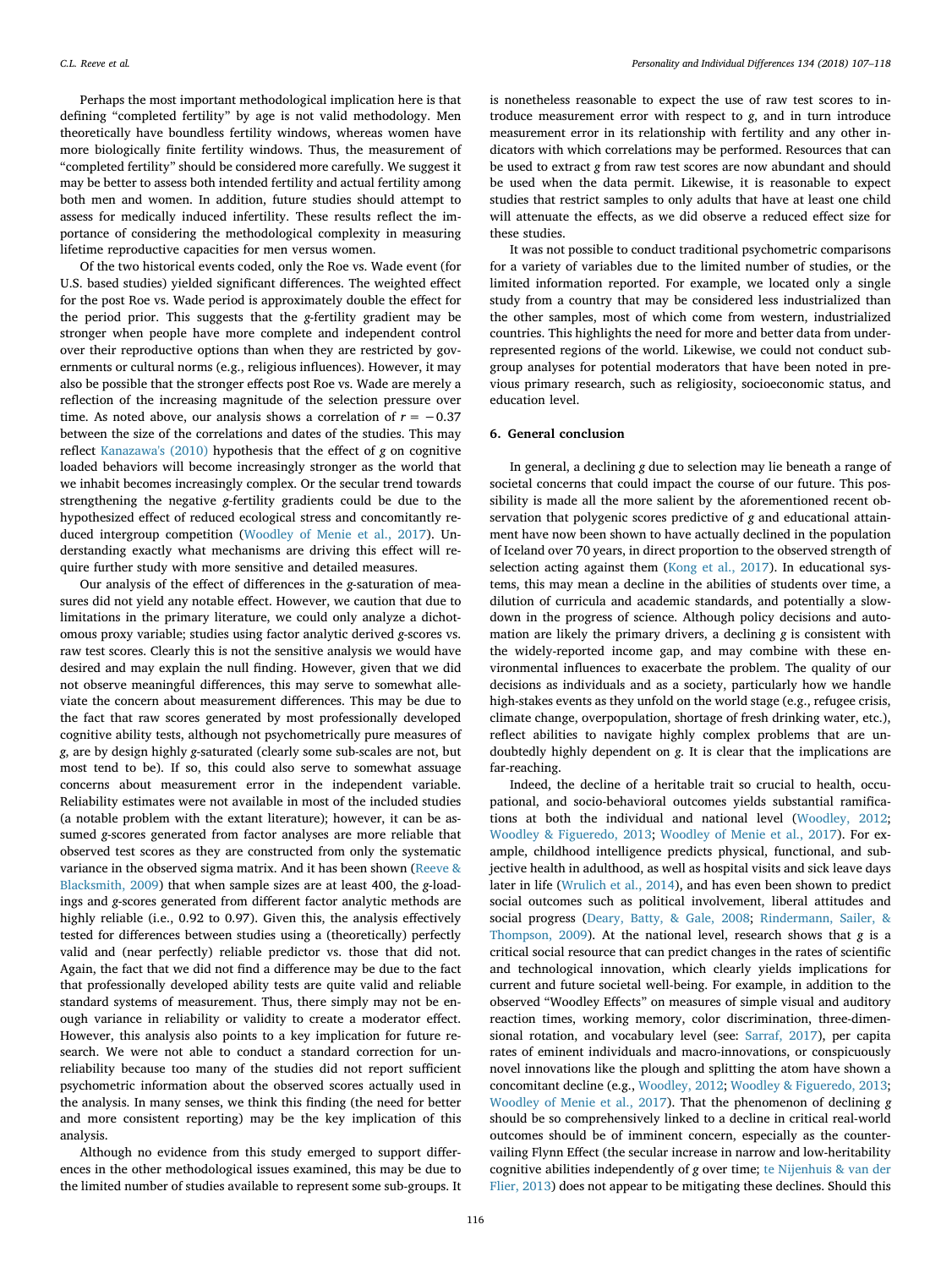Perhaps the most important methodological implication here is that defining "completed fertility" by age is not valid methodology. Men theoretically have boundless fertility windows, whereas women have more biologically finite fertility windows. Thus, the measurement of "completed fertility" should be considered more carefully. We suggest it may be better to assess both intended fertility and actual fertility among both men and women. In addition, future studies should attempt to assess for medically induced infertility. These results reflect the importance of considering the methodological complexity in measuring lifetime reproductive capacities for men versus women.

Of the two historical events coded, only the Roe vs. Wade event (for U.S. based studies) yielded significant differences. The weighted effect for the post Roe vs. Wade period is approximately double the effect for the period prior. This suggests that the g-fertility gradient may be stronger when people have more complete and independent control over their reproductive options than when they are restricted by governments or cultural norms (e.g., religious influences). However, it may also be possible that the stronger effects post Roe vs. Wade are merely a reflection of the increasing magnitude of the selection pressure over time. As noted above, our analysis shows a correlation of  $r = -0.37$ between the size of the correlations and dates of the studies. This may reflect Kanazawa's (2010) hypothesis that the effect of g on cognitive loaded behaviors will become increasingly stronger as the world that we inhabit becomes increasingly complex. Or the secular trend towards strengthening the negative g-fertility gradients could be due to the hypothesized effect of reduced ecological stress and concomitantly reduced intergroup competition (Woodley of Menie et al., 2017). Understanding exactly what mechanisms are driving this effect will require further study with more sensitive and detailed measures.

Our analysis of the effect of differences in the g-saturation of measures did not yield any notable effect. However, we caution that due to limitations in the primary literature, we could only analyze a dichotomous proxy variable; studies using factor analytic derived g-scores vs. raw test scores. Clearly this is not the sensitive analysis we would have desired and may explain the null finding. However, given that we did not observe meaningful differences, this may serve to somewhat alleviate the concern about measurement differences. This may be due to the fact that raw scores generated by most professionally developed cognitive ability tests, although not psychometrically pure measures of g, are by design highly g-saturated (clearly some sub-scales are not, but most tend to be). If so, this could also serve to somewhat assuage concerns about measurement error in the independent variable. Reliability estimates were not available in most of the included studies (a notable problem with the extant literature); however, it can be assumed g-scores generated from factor analyses are more reliable that observed test scores as they are constructed from only the systematic variance in the observed sigma matrix. And it has been shown (Reeve & Blacksmith, 2009) that when sample sizes are at least 400, the g-loadings and g-scores generated from different factor analytic methods are highly reliable (i.e., 0.92 to 0.97). Given this, the analysis effectively tested for differences between studies using a (theoretically) perfectly valid and (near perfectly) reliable predictor vs. those that did not. Again, the fact that we did not find a difference may be due to the fact that professionally developed ability tests are quite valid and reliable standard systems of measurement. Thus, there simply may not be enough variance in reliability or validity to create a moderator effect. However, this analysis also points to a key implication for future research. We were not able to conduct a standard correction for unreliability because too many of the studies did not report sufficient psychometric information about the observed scores actually used in the analysis. In many senses, we think this finding (the need for better and more consistent reporting) may be the key implication of this analysis.

Although no evidence from this study emerged to support differences in the other methodological issues examined, this may be due to the limited number of studies available to represent some sub-groups. It is nonetheless reasonable to expect the use of raw test scores to introduce measurement error with respect to g, and in turn introduce measurement error in its relationship with fertility and any other indicators with which correlations may be performed. Resources that can be used to extract g from raw test scores are now abundant and should be used when the data permit. Likewise, it is reasonable to expect studies that restrict samples to only adults that have at least one child will attenuate the effects, as we did observe a reduced effect size for these studies.

It was not possible to conduct traditional psychometric comparisons for a variety of variables due to the limited number of studies, or the limited information reported. For example, we located only a single study from a country that may be considered less industrialized than the other samples, most of which come from western, industrialized countries. This highlights the need for more and better data from underrepresented regions of the world. Likewise, we could not conduct subgroup analyses for potential moderators that have been noted in previous primary research, such as religiosity, socioeconomic status, and education level.

## 6. General conclusion

In general, a declining g due to selection may lie beneath a range of societal concerns that could impact the course of our future. This possibility is made all the more salient by the aforementioned recent observation that polygenic scores predictive of g and educational attainment have now been shown to have actually declined in the population of Iceland over 70 years, in direct proportion to the observed strength of selection acting against them (Kong et al., 2017). In educational systems, this may mean a decline in the abilities of students over time, a dilution of curricula and academic standards, and potentially a slowdown in the progress of science. Although policy decisions and automation are likely the primary drivers, a declining  $g$  is consistent with the widely-reported income gap, and may combine with these environmental influences to exacerbate the problem. The quality of our decisions as individuals and as a society, particularly how we handle high-stakes events as they unfold on the world stage (e.g., refugee crisis, climate change, overpopulation, shortage of fresh drinking water, etc.), reflect abilities to navigate highly complex problems that are undoubtedly highly dependent on g. It is clear that the implications are far-reaching.

Indeed, the decline of a heritable trait so crucial to health, occupational, and socio-behavioral outcomes yields substantial ramifications at both the individual and national level (Woodley, 2012; Woodley & Figueredo, 2013; Woodley of Menie et al., 2017). For example, childhood intelligence predicts physical, functional, and subjective health in adulthood, as well as hospital visits and sick leave days later in life (Wrulich et al., 2014), and has even been shown to predict social outcomes such as political involvement, liberal attitudes and social progress (Deary, Batty, & Gale, 2008; Rindermann, Sailer, & Thompson, 2009). At the national level, research shows that g is a critical social resource that can predict changes in the rates of scientific and technological innovation, which clearly yields implications for current and future societal well-being. For example, in addition to the observed "Woodley Effects" on measures of simple visual and auditory reaction times, working memory, color discrimination, three-dimensional rotation, and vocabulary level (see: Sarraf, 2017), per capita rates of eminent individuals and macro-innovations, or conspicuously novel innovations like the plough and splitting the atom have shown a concomitant decline (e.g., Woodley, 2012; Woodley & Figueredo, 2013; Woodley of Menie et al., 2017). That the phenomenon of declining g should be so comprehensively linked to a decline in critical real-world outcomes should be of imminent concern, especially as the countervailing Flynn Effect (the secular increase in narrow and low-heritability cognitive abilities independently of g over time; te Nijenhuis & van der Flier, 2013) does not appear to be mitigating these declines. Should this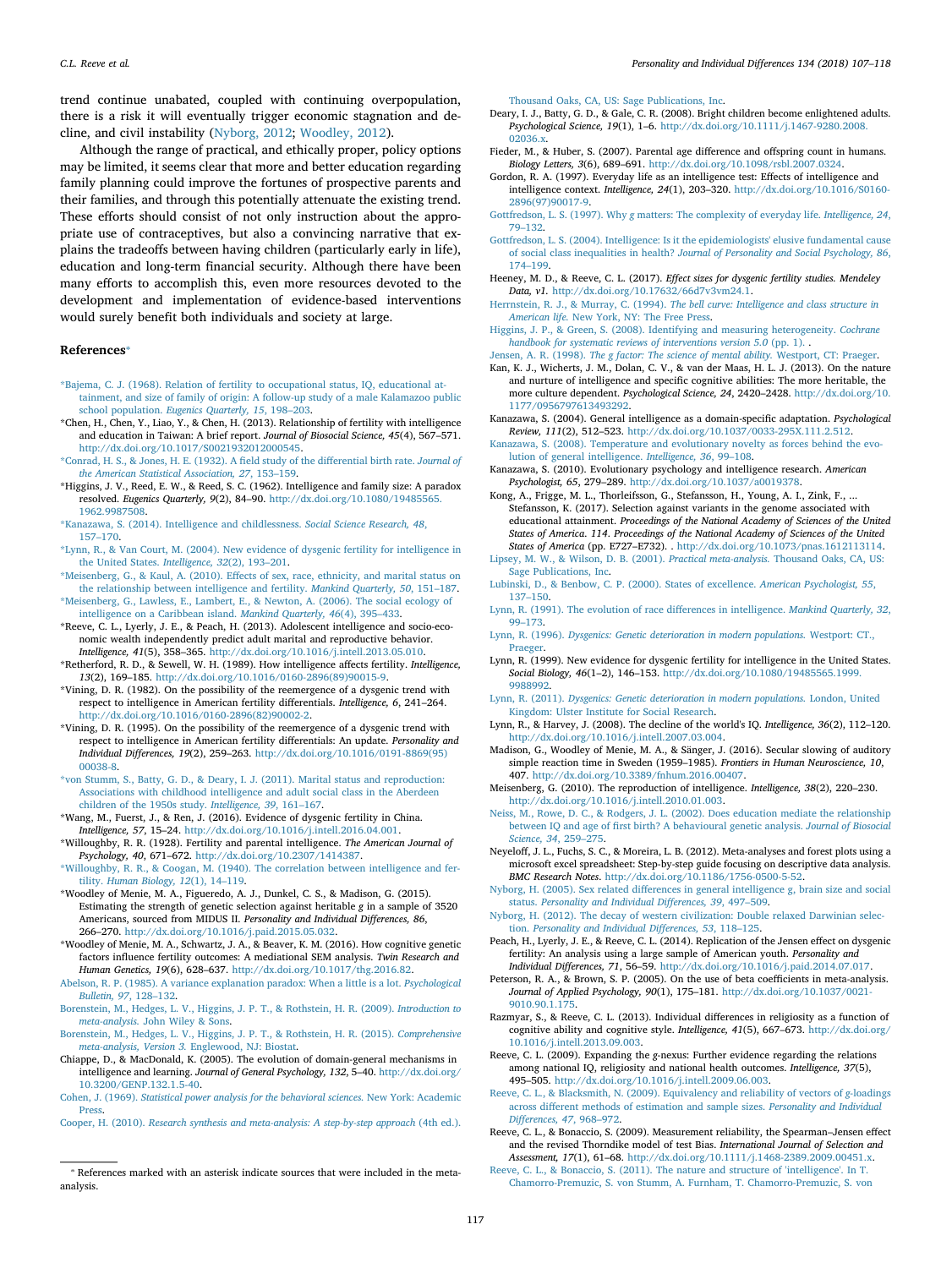trend continue unabated, coupled with continuing overpopulation, there is a risk it will eventually trigger economic stagnation and decline, and civil instability (Nyborg, 2012; Woodley, 2012).

Although the range of practical, and ethically proper, policy options may be limited, it seems clear that more and better education regarding family planning could improve the fortunes of prospective parents and their families, and through this potentially attenuate the existing trend. These efforts should consist of not only instruction about the appropriate use of contraceptives, but also a convincing narrative that explains the tradeoffs between having children (particularly early in life), education and long-term financial security. Although there have been many efforts to accomplish this, even more resources devoted to the development and implementation of evidence-based interventions would surely benefit both individuals and society at large.

# References⁎

- \*Bajema, C. J. (1968). Relation of fertility to occupational status, IQ, educational attainment, and size of family of origin: A follow-up study of a male Kalamazoo public school population. Eugenics Quarterly, 15, 198–203.
- \*Chen, H., Chen, Y., Liao, Y., & Chen, H. (2013). Relationship of fertility with intelligence and education in Taiwan: A brief report. Journal of Biosocial Science, 45(4), 567–571. http://dx.doi.org/10.1017/S0021932012000545.
- \*Conrad, H. S., & Jones, H. E. (1932). A field study of the differential birth rate. Journal of the American Statistical Association, 27, 153–159.
- \*Higgins, J. V., Reed, E. W., & Reed, S. C. (1962). Intelligence and family size: A paradox resolved. Eugenics Quarterly, 9(2), 84–90. http://dx.doi.org/10.1080/19485565. 1962.9987508.
- \*Kanazawa, S. (2014). Intelligence and childlessness. Social Science Research, 48, 157–170.
- \*Lynn, R., & Van Court, M. (2004). New evidence of dysgenic fertility for intelligence in the United States. Intelligence, 32(2), 193–201.
- \*Meisenberg, G., & Kaul, A. (2010). Effects of sex, race, ethnicity, and marital status on the relationship between intelligence and fertility. Mankind Quarterly, 50, 151–187. \*Meisenberg, G., Lawless, E., Lambert, E., & Newton, A. (2006). The social ecology of
- intelligence on a Caribbean island. Mankind Quarterly, 46(4), 395–433. \*Reeve, C. L., Lyerly, J. E., & Peach, H. (2013). Adolescent intelligence and socio-eco-
- nomic wealth independently predict adult marital and reproductive behavior. Intelligence, 41(5), 358–365. http://dx.doi.org/10.1016/j.intell.2013.05.010.
- \*Retherford, R. D., & Sewell, W. H. (1989). How intelligence affects fertility. Intelligence, 13(2), 169–185. http://dx.doi.org/10.1016/0160-2896(89)90015-9.
- \*Vining, D. R. (1982). On the possibility of the reemergence of a dysgenic trend with respect to intelligence in American fertility differentials. Intelligence, 6, 241–264. http://dx.doi.org/10.1016/0160-2896(82)90002-2.
- \*Vining, D. R. (1995). On the possibility of the reemergence of a dysgenic trend with respect to intelligence in American fertility differentials: An update. Personality and Individual Differences, 19(2), 259–263. http://dx.doi.org/10.1016/0191-8869(95) 00038-8.
- \*von Stumm, S., Batty, G. D., & Deary, I. J. (2011). Marital status and reproduction: Associations with childhood intelligence and adult social class in the Aberdeen children of the 1950s study. Intelligence, 39, 161–167.
- \*Wang, M., Fuerst, J., & Ren, J. (2016). Evidence of dysgenic fertility in China. Intelligence, 57, 15–24. http://dx.doi.org/10.1016/j.intell.2016.04.001.
- \*Willoughby, R. R. (1928). Fertility and parental intelligence. The American Journal of Psychology, 40, 671–672. http://dx.doi.org/10.2307/1414387.
- \*Willoughby, R. R., & Coogan, M. (1940). The correlation between intelligence and fertility. Human Biology, 12(1), 14–119.
- \*Woodley of Menie, M. A., Figueredo, A. J., Dunkel, C. S., & Madison, G. (2015). Estimating the strength of genetic selection against heritable g in a sample of 3520 Americans, sourced from MIDUS II. Personality and Individual Differences, 86, 266–270. http://dx.doi.org/10.1016/j.paid.2015.05.032.
- \*Woodley of Menie, M. A., Schwartz, J. A., & Beaver, K. M. (2016). How cognitive genetic factors influence fertility outcomes: A mediational SEM analysis. Twin Research and Human Genetics, 19(6), 628–637. http://dx.doi.org/10.1017/thg.2016.82.
- Abelson, R. P. (1985). A variance explanation paradox: When a little is a lot. Psychological Bulletin, 97, 128–132.
- Borenstein, M., Hedges, L. V., Higgins, J. P. T., & Rothstein, H. R. (2009). Introduction to meta-analysis. John Wiley & Sons.
- Borenstein, M., Hedges, L. V., Higgins, J. P. T., & Rothstein, H. R. (2015). Comprehensive meta-analysis, Version 3. Englewood, NJ: Biostat.
- Chiappe, D., & MacDonald, K. (2005). The evolution of domain-general mechanisms in intelligence and learning. Journal of General Psychology, 132, 5–40. http://dx.doi.org/ 10.3200/GENP.132.1.5-40.
- Cohen, J. (1969). Statistical power analysis for the behavioral sciences. New York: Academic Press.
- Cooper, H. (2010). Research synthesis and meta-analysis: A step-by-step approach (4th ed.).

Thousand Oaks, CA, US: Sage Publications, Inc.

- Deary, I. J., Batty, G. D., & Gale, C. R. (2008). Bright children become enlightened adults. Psychological Science, 19(1), 1–6. http://dx.doi.org/10.1111/j.1467-9280.2008. 02036.x.
- Fieder, M., & Huber, S. (2007). Parental age difference and offspring count in humans. Biology Letters, 3(6), 689–691. http://dx.doi.org/10.1098/rsbl.2007.0324.
- Gordon, R. A. (1997). Everyday life as an intelligence test: Effects of intelligence and intelligence context. Intelligence, 24(1), 203–320. http://dx.doi.org/10.1016/S0160- 2896(97)90017-9.
- Gottfredson, L. S. (1997). Why g matters: The complexity of everyday life. Intelligence, 24, 79–132.
- Gottfredson, L. S. (2004). Intelligence: Is it the epidemiologists' elusive fundamental cause of social class inequalities in health? Journal of Personality and Social Psychology, 86, 174–199.
- Heeney, M. D., & Reeve, C. L. (2017). Effect sizes for dysgenic fertility studies. Mendeley Data, v1. http://dx.doi.org/10.17632/66d7v3vm24.1.
- Herrnstein, R. J., & Murray, C. (1994). The bell curve: Intelligence and class structure in American life. New York, NY: The Free Press.
- Higgins, J. P., & Green, S. (2008). Identifying and measuring heterogeneity. Cochrane handbook for systematic reviews of interventions version 5.0 (pp. 1).
- Jensen, A. R. (1998). The g factor: The science of mental ability. Westport, CT: Praeger. Kan, K. J., Wicherts, J. M., Dolan, C. V., & van der Maas, H. L. J. (2013). On the nature and nurture of intelligence and specific cognitive abilities: The more heritable, the more culture dependent. Psychological Science, 24, 2420–2428. http://dx.doi.org/10. 1177/0956797613493292.
- Kanazawa, S. (2004). General intelligence as a domain-specific adaptation. Psychological Review, 111(2), 512–523. http://dx.doi.org/10.1037/0033-295X.111.2.512.
- Kanazawa, S. (2008). Temperature and evolutionary novelty as forces behind the evolution of general intelligence. Intelligence, 36, 99–108.
- Kanazawa, S. (2010). Evolutionary psychology and intelligence research. American Psychologist, 65, 279–289. http://dx.doi.org/10.1037/a0019378.
- Kong, A., Frigge, M. L., Thorleifsson, G., Stefansson, H., Young, A. I., Zink, F., ... Stefansson, K. (2017). Selection against variants in the genome associated with educational attainment. Proceedings of the National Academy of Sciences of the United States of America. 114. Proceedings of the National Academy of Sciences of the United States of America (pp. E727–E732). . http://dx.doi.org/10.1073/pnas.1612113114.
- Lipsey, M. W., & Wilson, D. B. (2001). Practical meta-analysis. Thousand Oaks, CA, US: Sage Publications, Inc.
- Lubinski, D., & Benbow, C. P. (2000). States of excellence. American Psychologist, 55, 137–150.
- Lynn, R. (1991). The evolution of race differences in intelligence. Mankind Quarterly, 32, 99–173.
- Lynn, R. (1996). Dysgenics: Genetic deterioration in modern populations. Westport: CT., Praeger.
- Lynn, R. (1999). New evidence for dysgenic fertility for intelligence in the United States. Social Biology, 46(1–2), 146–153. http://dx.doi.org/10.1080/19485565.1999. 9988992.
- Lynn, R. (2011). Dysgenics: Genetic deterioration in modern populations. London, United Kingdom: Ulster Institute for Social Research.
- Lynn, R., & Harvey, J. (2008). The decline of the world's IQ. Intelligence, 36(2), 112–120. http://dx.doi.org/10.1016/j.intell.2007.03.004.
- Madison, G., Woodley of Menie, M. A., & Sänger, J. (2016). Secular slowing of auditory simple reaction time in Sweden (1959–1985). Frontiers in Human Neuroscience, 10, 407. http://dx.doi.org/10.3389/fnhum.2016.00407.
- Meisenberg, G. (2010). The reproduction of intelligence. Intelligence, 38(2), 220–230. http://dx.doi.org/10.1016/j.intell.2010.01.003.
- Neiss, M., Rowe, D. C., & Rodgers, J. L. (2002). Does education mediate the relationship between IQ and age of first birth? A behavioural genetic analysis. Journal of Biosocial Science, 34, 259–275.
- Neyeloff, J. L., Fuchs, S. C., & Moreira, L. B. (2012). Meta-analyses and forest plots using a microsoft excel spreadsheet: Step-by-step guide focusing on descriptive data analysis. BMC Research Notes. http://dx.doi.org/10.1186/1756-0500-5-52.
- Nyborg, H. (2005). Sex related differences in general intelligence g, brain size and social status. Personality and Individual Differences, 39, 497–509.
- Nyborg, H. (2012). The decay of western civilization: Double relaxed Darwinian selection. Personality and Individual Differences, 53, 118–125.
- Peach, H., Lyerly, J. E., & Reeve, C. L. (2014). Replication of the Jensen effect on dysgenic fertility: An analysis using a large sample of American youth. Personality and Individual Differences, 71, 56–59. http://dx.doi.org/10.1016/j.paid.2014.07.017.
- Peterson, R. A., & Brown, S. P. (2005). On the use of beta coefficients in meta-analysis. Journal of Applied Psychology, 90(1), 175–181. http://dx.doi.org/10.1037/0021- 9010.90.1.175.
- Razmyar, S., & Reeve, C. L. (2013). Individual differences in religiosity as a function of cognitive ability and cognitive style. Intelligence, 41(5), 667-673. http://dx.doi.org, 10.1016/j.intell.2013.09.003.
- Reeve, C. L. (2009). Expanding the g-nexus: Further evidence regarding the relations among national IQ, religiosity and national health outcomes. Intelligence, 37(5), 495–505. http://dx.doi.org/10.1016/j.intell.2009.06.003.
- Reeve, C. L., & Blacksmith, N. (2009). Equivalency and reliability of vectors of g-loadings across different methods of estimation and sample sizes. Personality and Individual Differences, 47, 968–972.
- Reeve, C. L., & Bonaccio, S. (2009). Measurement reliability, the Spearman–Jensen effect and the revised Thorndike model of test Bias. International Journal of Selection and Assessment, 17(1), 61–68. http://dx.doi.org/10.1111/j.1468-2389.2009.00451.x.
- Reeve, C. L., & Bonaccio, S. (2011). The nature and structure of 'intelligence'. In T. Chamorro-Premuzic, S. von Stumm, A. Furnham, T. Chamorro-Premuzic, S. von

<sup>⁎</sup> References marked with an asterisk indicate sources that were included in the metaanalysis.